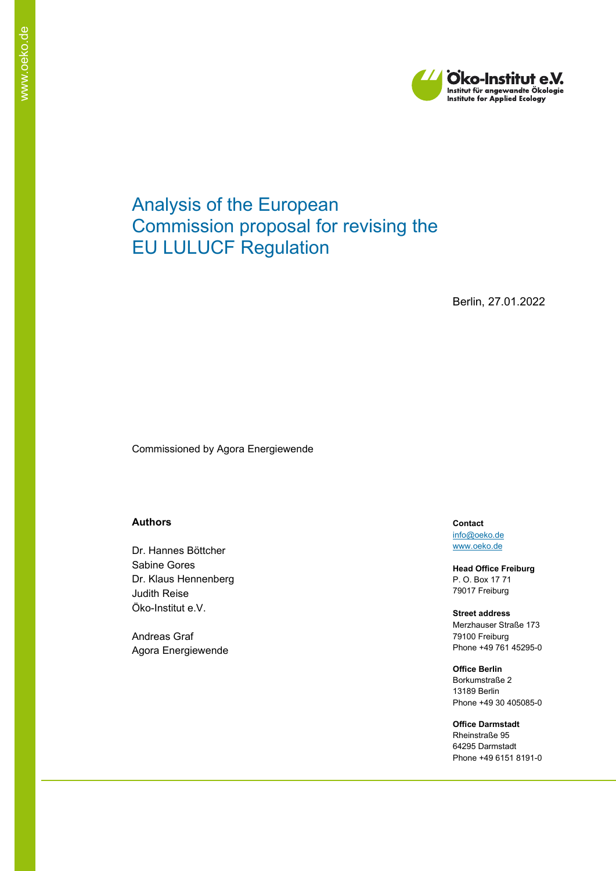

# Analysis of the European Commission proposal for revising the EU LULUCF Regulation

Berlin, 27.01.2022

Commissioned by Agora Energiewende

#### **Authors**

Dr. Hannes Böttcher Sabine Gores Dr. Klaus Hennenberg Judith Reise Öko-Institut e.V.

Andreas Graf Agora Energiewende **Contact** [info@oeko.de](mailto:info@oeko.de) [www.oeko.de](http://www.oeko.de/)

**Head Office Freiburg** P. O. Box 17 71 79017 Freiburg

**Street address** Merzhauser Straße 173 79100 Freiburg Phone +49 761 45295-0

**Office Berlin** Borkumstraße 2 13189 Berlin Phone +49 30 405085-0

**Office Darmstadt** Rheinstraße 95 64295 Darmstadt Phone +49 6151 8191-0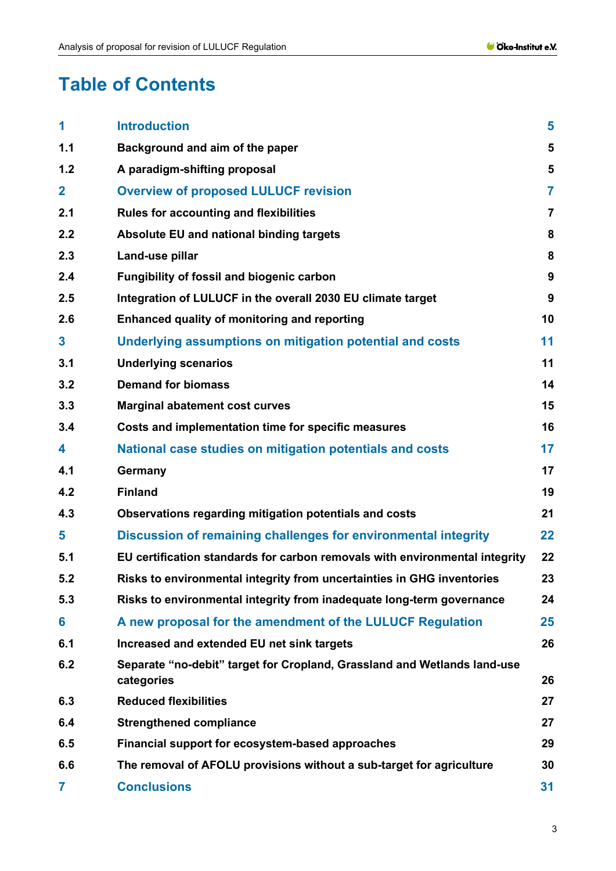# **Table of Contents**

| 1            | <b>Introduction</b>                                                                    | 5                |
|--------------|----------------------------------------------------------------------------------------|------------------|
| 1.1          | Background and aim of the paper                                                        | 5                |
| 1.2          | A paradigm-shifting proposal                                                           | 5                |
| $\mathbf 2$  | <b>Overview of proposed LULUCF revision</b>                                            | $\overline{7}$   |
| 2.1          | <b>Rules for accounting and flexibilities</b>                                          | $\overline{7}$   |
| 2.2          | Absolute EU and national binding targets                                               | 8                |
| 2.3          | Land-use pillar                                                                        | 8                |
| 2.4          | Fungibility of fossil and biogenic carbon                                              | $\boldsymbol{9}$ |
| 2.5          | Integration of LULUCF in the overall 2030 EU climate target                            | 9                |
| 2.6          | Enhanced quality of monitoring and reporting                                           | 10               |
| $\mathbf{3}$ | Underlying assumptions on mitigation potential and costs                               | 11               |
| 3.1          | <b>Underlying scenarios</b>                                                            | 11               |
| 3.2          | <b>Demand for biomass</b>                                                              | 14               |
| 3.3          | <b>Marginal abatement cost curves</b>                                                  | 15               |
| 3.4          | Costs and implementation time for specific measures                                    | 16               |
| 4            | National case studies on mitigation potentials and costs                               | 17               |
| 4.1          | Germany                                                                                | 17               |
| 4.2          | <b>Finland</b>                                                                         | 19               |
| 4.3          | Observations regarding mitigation potentials and costs                                 | 21               |
| 5            | Discussion of remaining challenges for environmental integrity                         | 22               |
| 5.1          | EU certification standards for carbon removals with environmental integrity            | 22               |
| 5.2          | Risks to environmental integrity from uncertainties in GHG inventories                 | 23               |
| 5.3          | Risks to environmental integrity from inadequate long-term governance                  | 24               |
| 6            | A new proposal for the amendment of the LULUCF Regulation                              | 25               |
| 6.1          | Increased and extended EU net sink targets                                             | 26               |
| 6.2          | Separate "no-debit" target for Cropland, Grassland and Wetlands land-use<br>categories | 26               |
| 6.3          | <b>Reduced flexibilities</b>                                                           | 27               |
| 6.4          | <b>Strengthened compliance</b>                                                         | 27               |
| 6.5          | Financial support for ecosystem-based approaches                                       | 29               |
| 6.6          | The removal of AFOLU provisions without a sub-target for agriculture                   | 30               |
| 7            | <b>Conclusions</b>                                                                     | 31               |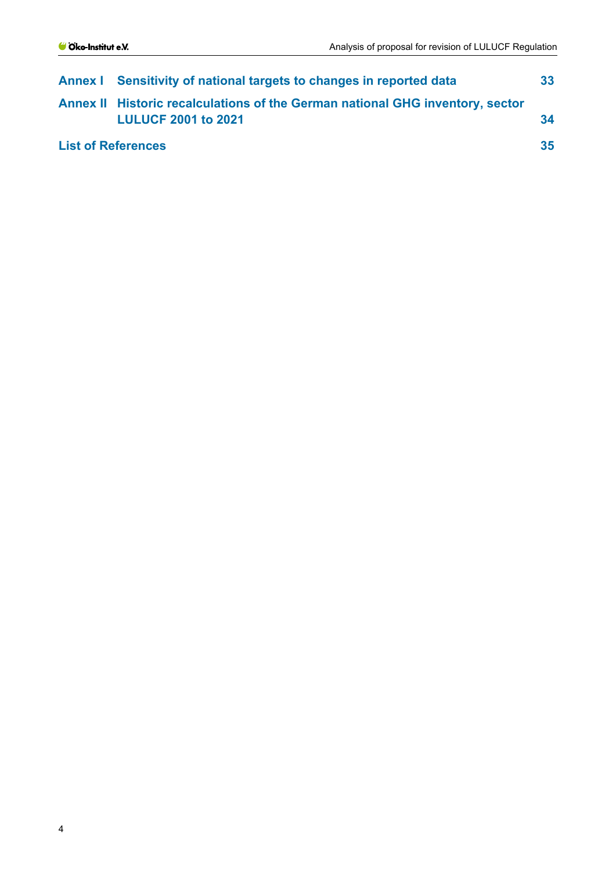|                           | <b>Annex I</b> Sensitivity of national targets to changes in reported data                                  |    |  |
|---------------------------|-------------------------------------------------------------------------------------------------------------|----|--|
|                           | Annex II Historic recalculations of the German national GHG inventory, sector<br><b>LULUCF 2001 to 2021</b> | 34 |  |
| <b>List of References</b> |                                                                                                             |    |  |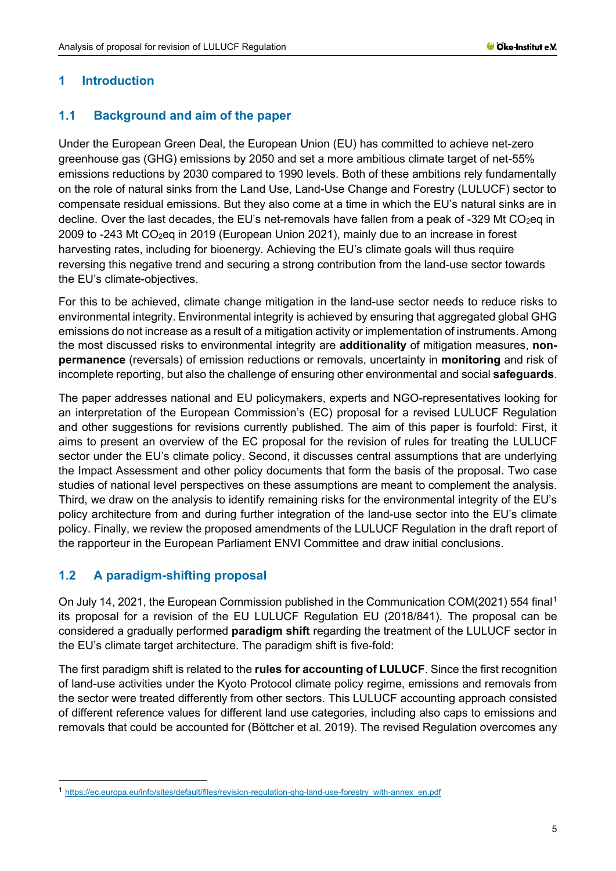#### <span id="page-4-0"></span>**1 Introduction**

#### <span id="page-4-1"></span>**1.1 Background and aim of the paper**

Under the European Green Deal, the European Union (EU) has committed to achieve net-zero greenhouse gas (GHG) emissions by 2050 and set a more ambitious climate target of net-55% emissions reductions by 2030 compared to 1990 levels. Both of these ambitions rely fundamentally on the role of natural sinks from the Land Use, Land-Use Change and Forestry (LULUCF) sector to compensate residual emissions. But they also come at a time in which the EU's natural sinks are in decline. Over the last decades, the EU's net-removals have fallen from a peak of -329 Mt CO<sub>2</sub>eq in 2009 to -243 Mt  $CO<sub>2</sub>$ eq in 2019 (European Union 2021), mainly due to an increase in forest harvesting rates, including for bioenergy. Achieving the EU's climate goals will thus require reversing this negative trend and securing a strong contribution from the land-use sector towards the EU's climate-objectives.

For this to be achieved, climate change mitigation in the land-use sector needs to reduce risks to environmental integrity. Environmental integrity is achieved by ensuring that aggregated global GHG emissions do not increase as a result of a mitigation activity or implementation of instruments. Among the most discussed risks to environmental integrity are **additionality** of mitigation measures, **nonpermanence** (reversals) of emission reductions or removals, uncertainty in **monitoring** and risk of incomplete reporting, but also the challenge of ensuring other environmental and social **safeguards**.

The paper addresses national and EU policymakers, experts and NGO-representatives looking for an interpretation of the European Commission's (EC) proposal for a revised LULUCF Regulation and other suggestions for revisions currently published. The aim of this paper is fourfold: First, it aims to present an overview of the EC proposal for the revision of rules for treating the LULUCF sector under the EU's climate policy. Second, it discusses central assumptions that are underlying the Impact Assessment and other policy documents that form the basis of the proposal. Two case studies of national level perspectives on these assumptions are meant to complement the analysis. Third, we draw on the analysis to identify remaining risks for the environmental integrity of the EU's policy architecture from and during further integration of the land-use sector into the EU's climate policy. Finally, we review the proposed amendments of the LULUCF Regulation in the draft report of the rapporteur in the European Parliament ENVI Committee and draw initial conclusions.

## <span id="page-4-2"></span>**1.2 A paradigm-shifting proposal**

On July 14, 2021, the European Commission published in the Communication COM(2021) 554 final[1](#page-4-3) its proposal for a revision of the EU LULUCF Regulation EU (2018/841). The proposal can be considered a gradually performed **paradigm shift** regarding the treatment of the LULUCF sector in the EU's climate target architecture. The paradigm shift is five-fold:

The first paradigm shift is related to the **rules for accounting of LULUCF**. Since the first recognition of land-use activities under the Kyoto Protocol climate policy regime, emissions and removals from the sector were treated differently from other sectors. This LULUCF accounting approach consisted of different reference values for different land use categories, including also caps to emissions and removals that could be accounted for (Böttcher et al. 2019). The revised Regulation overcomes any

<span id="page-4-3"></span><sup>1</sup> [https://ec.europa.eu/info/sites/default/files/revision-regulation-ghg-land-use-forestry\\_with-annex\\_en.pdf](https://ec.europa.eu/info/sites/default/files/revision-regulation-ghg-land-use-forestry_with-annex_en.pdf)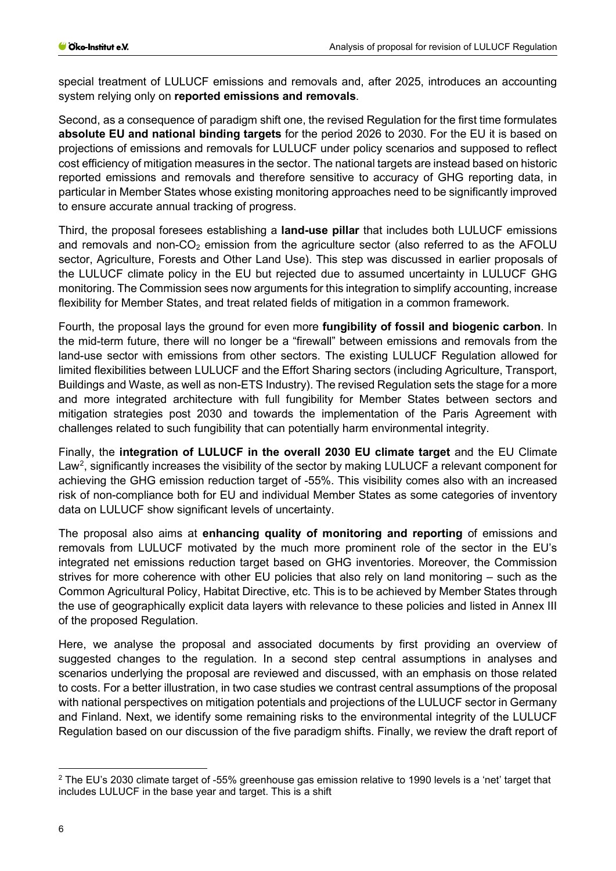special treatment of LULUCF emissions and removals and, after 2025, introduces an accounting system relying only on **reported emissions and removals**.

Second, as a consequence of paradigm shift one, the revised Regulation for the first time formulates **absolute EU and national binding targets** for the period 2026 to 2030. For the EU it is based on projections of emissions and removals for LULUCF under policy scenarios and supposed to reflect cost efficiency of mitigation measures in the sector. The national targets are instead based on historic reported emissions and removals and therefore sensitive to accuracy of GHG reporting data, in particular in Member States whose existing monitoring approaches need to be significantly improved to ensure accurate annual tracking of progress.

Third, the proposal foresees establishing a **land-use pillar** that includes both LULUCF emissions and removals and non- $CO<sub>2</sub>$  emission from the agriculture sector (also referred to as the AFOLU sector, Agriculture, Forests and Other Land Use). This step was discussed in earlier proposals of the LULUCF climate policy in the EU but rejected due to assumed uncertainty in LULUCF GHG monitoring. The Commission sees now arguments for this integration to simplify accounting, increase flexibility for Member States, and treat related fields of mitigation in a common framework.

Fourth, the proposal lays the ground for even more **fungibility of fossil and biogenic carbon**. In the mid-term future, there will no longer be a "firewall" between emissions and removals from the land-use sector with emissions from other sectors. The existing LULUCF Regulation allowed for limited flexibilities between LULUCF and the Effort Sharing sectors (including Agriculture, Transport, Buildings and Waste, as well as non-ETS Industry). The revised Regulation sets the stage for a more and more integrated architecture with full fungibility for Member States between sectors and mitigation strategies post 2030 and towards the implementation of the Paris Agreement with challenges related to such fungibility that can potentially harm environmental integrity.

Finally, the **integration of LULUCF in the overall 2030 EU climate target** and the EU Climate Law<sup>[2](#page-5-0)</sup>, significantly increases the visibility of the sector by making LULUCF a relevant component for achieving the GHG emission reduction target of -55%. This visibility comes also with an increased risk of non-compliance both for EU and individual Member States as some categories of inventory data on LULUCF show significant levels of uncertainty.

The proposal also aims at **enhancing quality of monitoring and reporting** of emissions and removals from LULUCF motivated by the much more prominent role of the sector in the EU's integrated net emissions reduction target based on GHG inventories. Moreover, the Commission strives for more coherence with other EU policies that also rely on land monitoring – such as the Common Agricultural Policy, Habitat Directive, etc. This is to be achieved by Member States through the use of geographically explicit data layers with relevance to these policies and listed in Annex III of the proposed Regulation.

Here, we analyse the proposal and associated documents by first providing an overview of suggested changes to the regulation. In a second step central assumptions in analyses and scenarios underlying the proposal are reviewed and discussed, with an emphasis on those related to costs. For a better illustration, in two case studies we contrast central assumptions of the proposal with national perspectives on mitigation potentials and projections of the LULUCF sector in Germany and Finland. Next, we identify some remaining risks to the environmental integrity of the LULUCF Regulation based on our discussion of the five paradigm shifts. Finally, we review the draft report of

<span id="page-5-0"></span><sup>2</sup> The EU's 2030 climate target of -55% greenhouse gas emission relative to 1990 levels is a 'net' target that includes LULUCF in the base year and target. This is a shift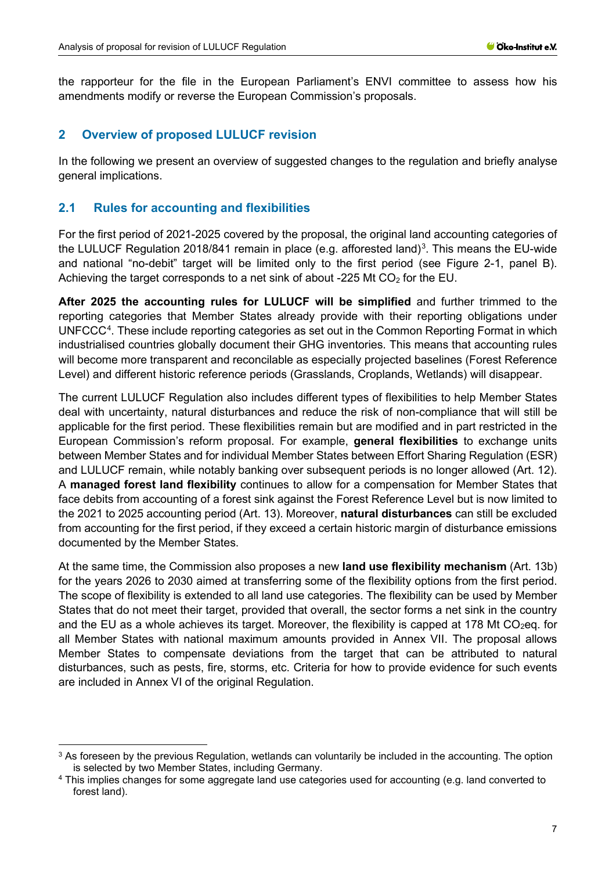the rapporteur for the file in the European Parliament's ENVI committee to assess how his amendments modify or reverse the European Commission's proposals.

## <span id="page-6-0"></span>**2 Overview of proposed LULUCF revision**

In the following we present an overview of suggested changes to the regulation and briefly analyse general implications.

## <span id="page-6-1"></span>**2.1 Rules for accounting and flexibilities**

For the first period of 2021-2025 covered by the proposal, the original land accounting categories of the LULUCF Regulation 2018/841 remain in place (e.g. afforested land)<sup>[3](#page-6-2)</sup>. This means the EU-wide and national "no-debit" target will be limited only to the first period (see [Figure 2-1,](#page-9-1) panel B). Achieving the target corresponds to a net sink of about -225 Mt  $CO<sub>2</sub>$  for the EU.

**After 2025 the accounting rules for LULUCF will be simplified** and further trimmed to the reporting categories that Member States already provide with their reporting obligations under UNFCCC<sup>[4](#page-6-3)</sup>. These include reporting categories as set out in the Common Reporting Format in which industrialised countries globally document their GHG inventories. This means that accounting rules will become more transparent and reconcilable as especially projected baselines (Forest Reference Level) and different historic reference periods (Grasslands, Croplands, Wetlands) will disappear.

The current LULUCF Regulation also includes different types of flexibilities to help Member States deal with uncertainty, natural disturbances and reduce the risk of non-compliance that will still be applicable for the first period. These flexibilities remain but are modified and in part restricted in the European Commission's reform proposal. For example, **general flexibilities** to exchange units between Member States and for individual Member States between Effort Sharing Regulation (ESR) and LULUCF remain, while notably banking over subsequent periods is no longer allowed (Art. 12). A **managed forest land flexibility** continues to allow for a compensation for Member States that face debits from accounting of a forest sink against the Forest Reference Level but is now limited to the 2021 to 2025 accounting period (Art. 13). Moreover, **natural disturbances** can still be excluded from accounting for the first period, if they exceed a certain historic margin of disturbance emissions documented by the Member States.

At the same time, the Commission also proposes a new **land use flexibility mechanism** (Art. 13b) for the years 2026 to 2030 aimed at transferring some of the flexibility options from the first period. The scope of flexibility is extended to all land use categories. The flexibility can be used by Member States that do not meet their target, provided that overall, the sector forms a net sink in the country and the EU as a whole achieves its target. Moreover, the flexibility is capped at 178 Mt  $CO<sub>2</sub>$ eq. for all Member States with national maximum amounts provided in Annex VII. The proposal allows Member States to compensate deviations from the target that can be attributed to natural disturbances, such as pests, fire, storms, etc. Criteria for how to provide evidence for such events are included in Annex VI of the original Regulation.

<span id="page-6-2"></span><sup>&</sup>lt;sup>3</sup> As foreseen by the previous Regulation, wetlands can voluntarily be included in the accounting. The option is selected by two Member States, including Germany.

<span id="page-6-3"></span><sup>4</sup> This implies changes for some aggregate land use categories used for accounting (e.g. land converted to forest land).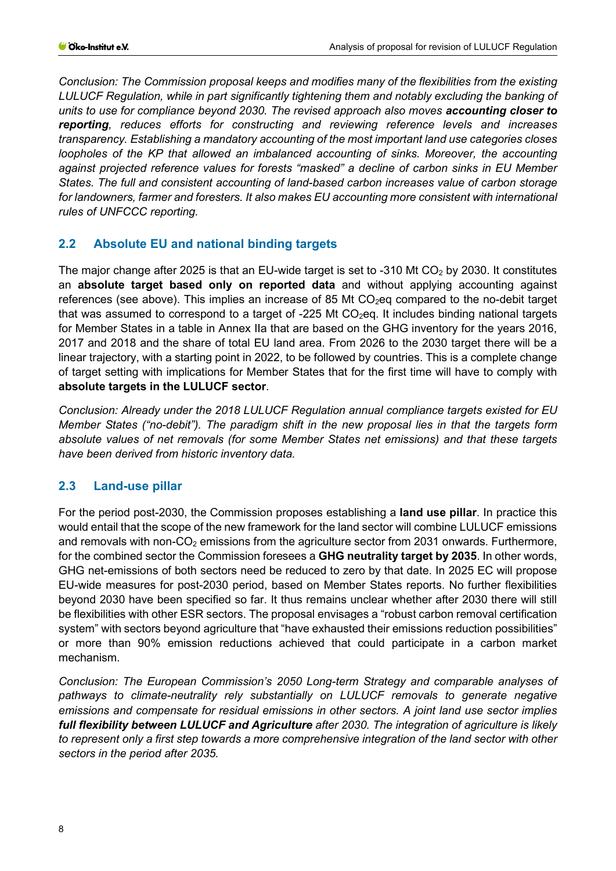*Conclusion: The Commission proposal keeps and modifies many of the flexibilities from the existing LULUCF Regulation, while in part significantly tightening them and notably excluding the banking of units to use for compliance beyond 2030. The revised approach also moves accounting closer to reporting, reduces efforts for constructing and reviewing reference levels and increases transparency. Establishing a mandatory accounting of the most important land use categories closes loopholes of the KP that allowed an imbalanced accounting of sinks. Moreover, the accounting against projected reference values for forests "masked" a decline of carbon sinks in EU Member States. The full and consistent accounting of land-based carbon increases value of carbon storage for landowners, farmer and foresters. It also makes EU accounting more consistent with international rules of UNFCCC reporting.*

## <span id="page-7-0"></span>**2.2 Absolute EU and national binding targets**

The major change after 2025 is that an EU-wide target is set to -310 Mt  $CO<sub>2</sub>$  by 2030. It constitutes an **absolute target based only on reported data** and without applying accounting against references (see above). This implies an increase of 85 Mt  $CO<sub>2</sub>$ eq compared to the no-debit target that was assumed to correspond to a target of -225 Mt  $CO<sub>2</sub>$ eq. It includes binding national targets for Member States in a table in Annex IIa that are based on the GHG inventory for the years 2016, 2017 and 2018 and the share of total EU land area. From 2026 to the 2030 target there will be a linear trajectory, with a starting point in 2022, to be followed by countries. This is a complete change of target setting with implications for Member States that for the first time will have to comply with **absolute targets in the LULUCF sector**.

*Conclusion: Already under the 2018 LULUCF Regulation annual compliance targets existed for EU Member States ("no-debit"). The paradigm shift in the new proposal lies in that the targets form absolute values of net removals (for some Member States net emissions) and that these targets have been derived from historic inventory data.*

## <span id="page-7-1"></span>**2.3 Land-use pillar**

For the period post-2030, the Commission proposes establishing a **land use pillar**. In practice this would entail that the scope of the new framework for the land sector will combine LULUCF emissions and removals with non- $CO<sub>2</sub>$  emissions from the agriculture sector from 2031 onwards. Furthermore, for the combined sector the Commission foresees a **GHG neutrality target by 2035**. In other words, GHG net-emissions of both sectors need be reduced to zero by that date. In 2025 EC will propose EU-wide measures for post-2030 period, based on Member States reports. No further flexibilities beyond 2030 have been specified so far. It thus remains unclear whether after 2030 there will still be flexibilities with other ESR sectors. The proposal envisages a "robust carbon removal certification system" with sectors beyond agriculture that "have exhausted their emissions reduction possibilities" or more than 90% emission reductions achieved that could participate in a carbon market mechanism.

*Conclusion: The European Commission's 2050 Long-term Strategy and comparable analyses of pathways to climate-neutrality rely substantially on LULUCF removals to generate negative emissions and compensate for residual emissions in other sectors. A joint land use sector implies full flexibility between LULUCF and Agriculture after 2030. The integration of agriculture is likely to represent only a first step towards a more comprehensive integration of the land sector with other sectors in the period after 2035.*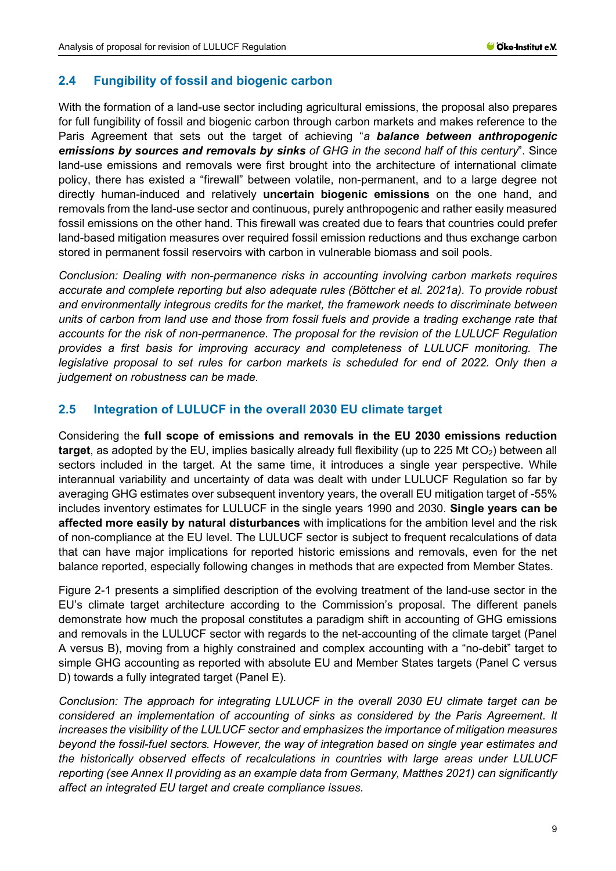## <span id="page-8-0"></span>**2.4 Fungibility of fossil and biogenic carbon**

With the formation of a land-use sector including agricultural emissions, the proposal also prepares for full fungibility of fossil and biogenic carbon through carbon markets and makes reference to the Paris Agreement that sets out the target of achieving "*a balance between anthropogenic emissions by sources and removals by sinks of GHG in the second half of this century*". Since land-use emissions and removals were first brought into the architecture of international climate policy, there has existed a "firewall" between volatile, non-permanent, and to a large degree not directly human-induced and relatively **uncertain biogenic emissions** on the one hand, and removals from the land-use sector and continuous, purely anthropogenic and rather easily measured fossil emissions on the other hand. This firewall was created due to fears that countries could prefer land-based mitigation measures over required fossil emission reductions and thus exchange carbon stored in permanent fossil reservoirs with carbon in vulnerable biomass and soil pools.

*Conclusion: Dealing with non-permanence risks in accounting involving carbon markets requires accurate and complete reporting but also adequate rules (Böttcher et al. 2021a). To provide robust and environmentally integrous credits for the market, the framework needs to discriminate between units of carbon from land use and those from fossil fuels and provide a trading exchange rate that accounts for the risk of non-permanence. The proposal for the revision of the LULUCF Regulation provides a first basis for improving accuracy and completeness of LULUCF monitoring. The legislative proposal to set rules for carbon markets is scheduled for end of 2022. Only then a judgement on robustness can be made.*

#### <span id="page-8-1"></span>**2.5 Integration of LULUCF in the overall 2030 EU climate target**

Considering the **full scope of emissions and removals in the EU 2030 emissions reduction target**, as adopted by the EU, implies basically already full flexibility (up to 225 Mt CO<sub>2</sub>) between all sectors included in the target. At the same time, it introduces a single year perspective. While interannual variability and uncertainty of data was dealt with under LULUCF Regulation so far by averaging GHG estimates over subsequent inventory years, the overall EU mitigation target of -55% includes inventory estimates for LULUCF in the single years 1990 and 2030. **Single years can be affected more easily by natural disturbances** with implications for the ambition level and the risk of non-compliance at the EU level. The LULUCF sector is subject to frequent recalculations of data that can have major implications for reported historic emissions and removals, even for the net balance reported, especially following changes in methods that are expected from Member States.

[Figure 2-1](#page-9-1) presents a simplified description of the evolving treatment of the land-use sector in the EU's climate target architecture according to the Commission's proposal. The different panels demonstrate how much the proposal constitutes a paradigm shift in accounting of GHG emissions and removals in the LULUCF sector with regards to the net-accounting of the climate target (Panel A versus B), moving from a highly constrained and complex accounting with a "no-debit" target to simple GHG accounting as reported with absolute EU and Member States targets (Panel C versus D) towards a fully integrated target (Panel E).

*Conclusion: The approach for integrating LULUCF in the overall 2030 EU climate target can be considered an implementation of accounting of sinks as considered by the Paris Agreement. It increases the visibility of the LULUCF sector and emphasizes the importance of mitigation measures beyond the fossil-fuel sectors. However, the way of integration based on single year estimates and the historically observed effects of recalculations in countries with large areas under LULUCF reporting (see Annex II providing as an example data from Germany, Matthes 2021) can significantly affect an integrated EU target and create compliance issues.*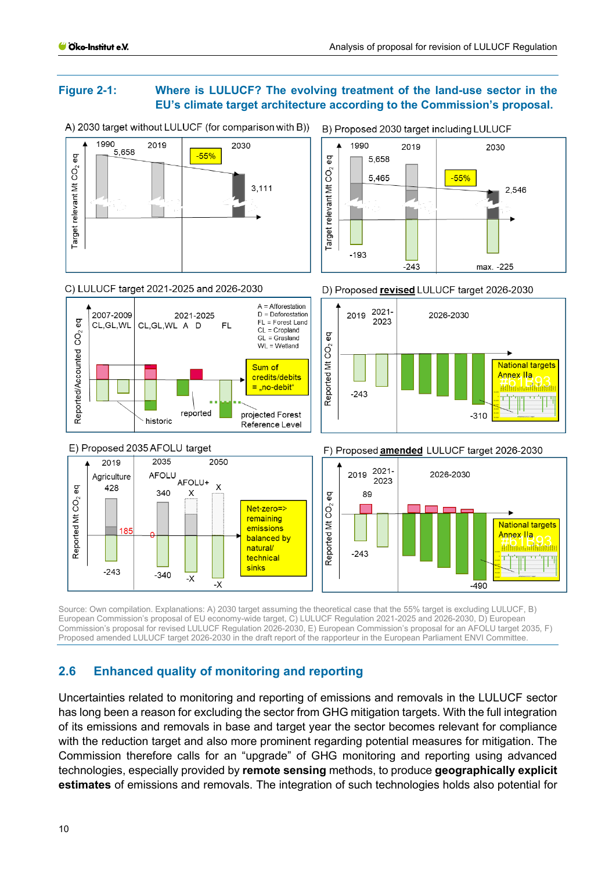#### <span id="page-9-1"></span>**Figure 2-1: Where is LULUCF? The evolving treatment of the land-use sector in the EU's climate target architecture according to the Commission's proposal.**



A) 2030 target without LULUCF (for comparison with B))

B) Proposed 2030 target including LULUCF

Source: Own compilation. Explanations: A) 2030 target assuming the theoretical case that the 55% target is excluding LULUCF, B) European Commission's proposal of EU economy-wide target, C) LULUCF Regulation 2021-2025 and 2026-2030, D) European Commission's proposal for revised LULUCF Regulation 2026-2030, E) European Commission's proposal for an AFOLU target 2035, F) Proposed amended LULUCF target 2026-2030 in the draft report of the rapporteur in the European Parliament ENVI Committee.

## <span id="page-9-0"></span>**2.6 Enhanced quality of monitoring and reporting**

Uncertainties related to monitoring and reporting of emissions and removals in the LULUCF sector has long been a reason for excluding the sector from GHG mitigation targets. With the full integration of its emissions and removals in base and target year the sector becomes relevant for compliance with the reduction target and also more prominent regarding potential measures for mitigation. The Commission therefore calls for an "upgrade" of GHG monitoring and reporting using advanced technologies, especially provided by **remote sensing** methods, to produce **geographically explicit estimates** of emissions and removals. The integration of such technologies holds also potential for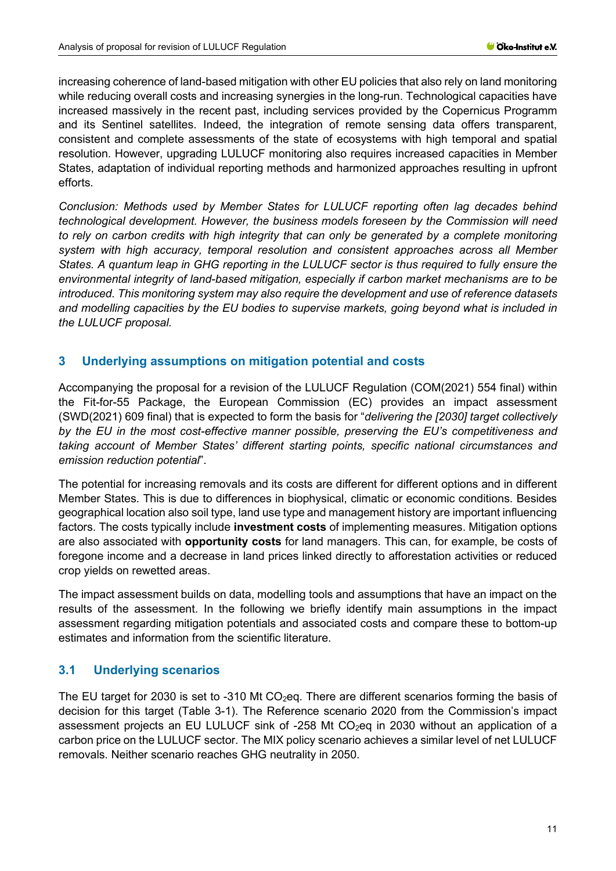increasing coherence of land-based mitigation with other EU policies that also rely on land monitoring while reducing overall costs and increasing synergies in the long-run. Technological capacities have increased massively in the recent past, including services provided by the Copernicus Programm and its Sentinel satellites. Indeed, the integration of remote sensing data offers transparent, consistent and complete assessments of the state of ecosystems with high temporal and spatial resolution. However, upgrading LULUCF monitoring also requires increased capacities in Member States, adaptation of individual reporting methods and harmonized approaches resulting in upfront efforts.

*Conclusion: Methods used by Member States for LULUCF reporting often lag decades behind technological development. However, the business models foreseen by the Commission will need*  to rely on carbon credits with high integrity that can only be generated by a complete monitoring *system with high accuracy, temporal resolution and consistent approaches across all Member States. A quantum leap in GHG reporting in the LULUCF sector is thus required to fully ensure the environmental integrity of land-based mitigation, especially if carbon market mechanisms are to be introduced. This monitoring system may also require the development and use of reference datasets and modelling capacities by the EU bodies to supervise markets, going beyond what is included in the LULUCF proposal.*

## <span id="page-10-0"></span>**3 Underlying assumptions on mitigation potential and costs**

Accompanying the proposal for a revision of the LULUCF Regulation (COM(2021) 554 final) within the Fit-for-55 Package, the European Commission (EC) provides an impact assessment (SWD(2021) 609 final) that is expected to form the basis for "*delivering the [2030] target collectively by the EU in the most cost-effective manner possible, preserving the EU's competitiveness and taking account of Member States' different starting points, specific national circumstances and emission reduction potential*".

The potential for increasing removals and its costs are different for different options and in different Member States. This is due to differences in biophysical, climatic or economic conditions. Besides geographical location also soil type, land use type and management history are important influencing factors. The costs typically include **investment costs** of implementing measures. Mitigation options are also associated with **opportunity costs** for land managers. This can, for example, be costs of foregone income and a decrease in land prices linked directly to afforestation activities or reduced crop yields on rewetted areas.

The impact assessment builds on data, modelling tools and assumptions that have an impact on the results of the assessment. In the following we briefly identify main assumptions in the impact assessment regarding mitigation potentials and associated costs and compare these to bottom-up estimates and information from the scientific literature.

## <span id="page-10-1"></span>**3.1 Underlying scenarios**

The EU target for 2030 is set to -310 Mt  $CO<sub>2</sub>$ eq. There are different scenarios forming the basis of decision for this target [\(Table 3-1\)](#page-12-0). The Reference scenario 2020 from the Commission's impact assessment projects an EU LULUCF sink of -258 Mt  $CO<sub>2</sub>$ eq in 2030 without an application of a carbon price on the LULUCF sector. The MIX policy scenario achieves a similar level of net LULUCF removals. Neither scenario reaches GHG neutrality in 2050.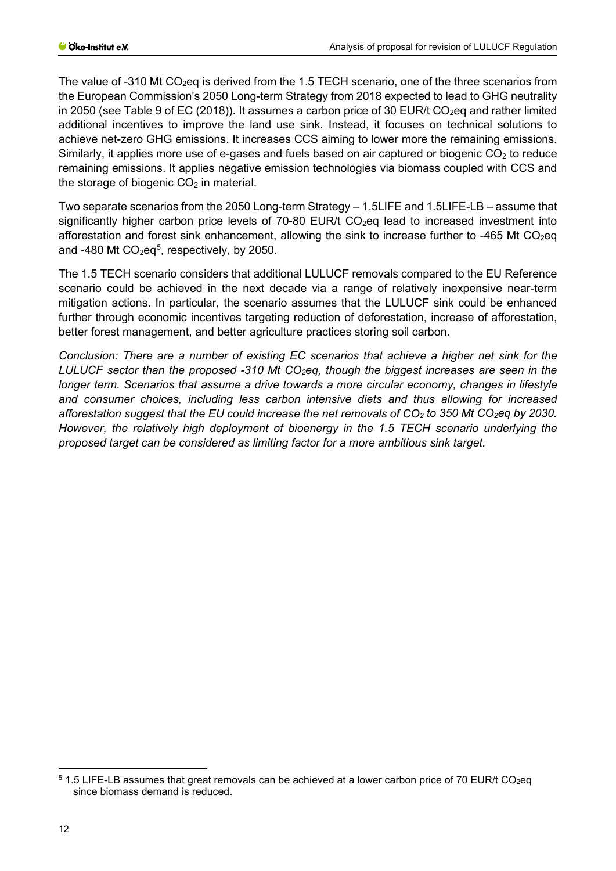The value of -310 Mt CO<sub>2</sub>eq is derived from the 1.5 TECH scenario, one of the three scenarios from the European Commission's 2050 Long-term Strategy from 2018 expected to lead to GHG neutrality in 2050 (see Table 9 of EC (2018)). It assumes a carbon price of 30 EUR/t CO<sub>2</sub>eq and rather limited additional incentives to improve the land use sink. Instead, it focuses on technical solutions to achieve net-zero GHG emissions. It increases CCS aiming to lower more the remaining emissions. Similarly, it applies more use of e-gases and fuels based on air captured or biogenic  $CO<sub>2</sub>$  to reduce remaining emissions. It applies negative emission technologies via biomass coupled with CCS and the storage of biogenic  $CO<sub>2</sub>$  in material.

Two separate scenarios from the 2050 Long-term Strategy – 1.5LIFE and 1.5LIFE-LB – assume that significantly higher carbon price levels of 70-80 EUR/t  $CO<sub>2</sub>$ eq lead to increased investment into afforestation and forest sink enhancement, allowing the sink to increase further to -465 Mt CO<sub>2</sub>eq and -480 Mt  $CO<sub>2</sub>eq<sup>5</sup>$  $CO<sub>2</sub>eq<sup>5</sup>$  $CO<sub>2</sub>eq<sup>5</sup>$ , respectively, by 2050.

The 1.5 TECH scenario considers that additional LULUCF removals compared to the EU Reference scenario could be achieved in the next decade via a range of relatively inexpensive near-term mitigation actions. In particular, the scenario assumes that the LULUCF sink could be enhanced further through economic incentives targeting reduction of deforestation, increase of afforestation, better forest management, and better agriculture practices storing soil carbon.

*Conclusion: There are a number of existing EC scenarios that achieve a higher net sink for the LULUCF sector than the proposed -310 Mt CO2eq, though the biggest increases are seen in the longer term. Scenarios that assume a drive towards a more circular economy, changes in lifestyle and consumer choices, including less carbon intensive diets and thus allowing for increased afforestation suggest that the EU could increase the net removals of CO2 to 350 Mt CO2eq by 2030. However, the relatively high deployment of bioenergy in the 1.5 TECH scenario underlying the proposed target can be considered as limiting factor for a more ambitious sink target.*

<span id="page-11-0"></span> $5$  1.5 LIFE-LB assumes that great removals can be achieved at a lower carbon price of 70 EUR/t CO<sub>2</sub>eq since biomass demand is reduced.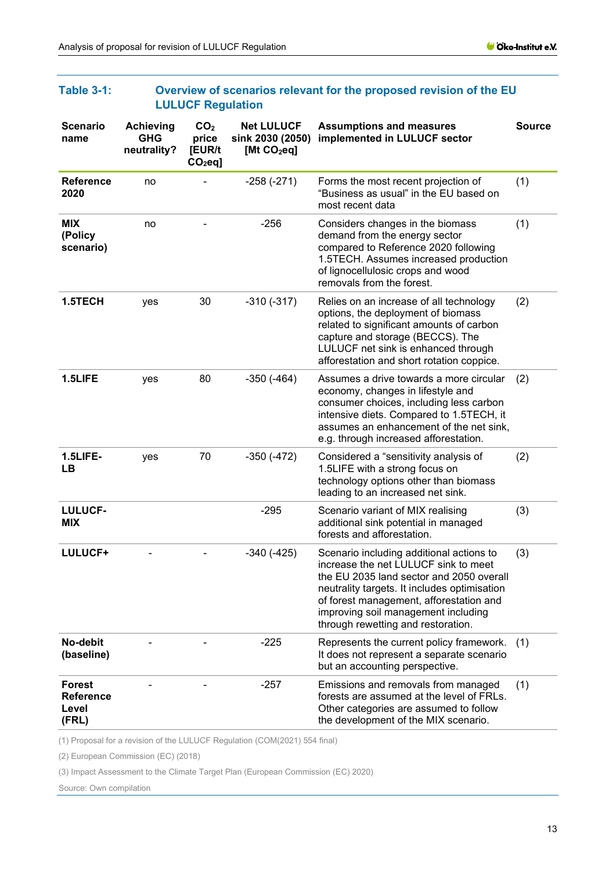|                                                     | <b>LULUUF Regulation</b>                      |                                                 |                                                        |                                                                                                                                                                                                                                                                                                      |               |
|-----------------------------------------------------|-----------------------------------------------|-------------------------------------------------|--------------------------------------------------------|------------------------------------------------------------------------------------------------------------------------------------------------------------------------------------------------------------------------------------------------------------------------------------------------------|---------------|
| <b>Scenario</b><br>name                             | <b>Achieving</b><br><b>GHG</b><br>neutrality? | CO <sub>2</sub><br>price<br>[EUR/t<br>$CO2eq$ ] | <b>Net LULUCF</b><br>sink 2030 (2050)<br>[Mt $CO2$ eq] | <b>Assumptions and measures</b><br>implemented in LULUCF sector                                                                                                                                                                                                                                      | <b>Source</b> |
| <b>Reference</b><br>2020                            | no                                            |                                                 | $-258(-271)$                                           | Forms the most recent projection of<br>"Business as usual" in the EU based on<br>most recent data                                                                                                                                                                                                    | (1)           |
| <b>MIX</b><br>(Policy<br>scenario)                  | no                                            |                                                 | $-256$                                                 | Considers changes in the biomass<br>demand from the energy sector<br>compared to Reference 2020 following<br>1.5TECH. Assumes increased production<br>of lignocellulosic crops and wood<br>removals from the forest.                                                                                 | (1)           |
| 1.5TECH                                             | yes                                           | 30                                              | $-310(-317)$                                           | Relies on an increase of all technology<br>options, the deployment of biomass<br>related to significant amounts of carbon<br>capture and storage (BECCS). The<br>LULUCF net sink is enhanced through<br>afforestation and short rotation coppice.                                                    | (2)           |
| 1.5LIFE                                             | yes                                           | 80                                              | $-350(-464)$                                           | Assumes a drive towards a more circular<br>economy, changes in lifestyle and<br>consumer choices, including less carbon<br>intensive diets. Compared to 1.5TECH, it<br>assumes an enhancement of the net sink,<br>e.g. through increased afforestation.                                              | (2)           |
| 1.5LIFE-<br>LВ                                      | yes                                           | 70                                              | $-350(-472)$                                           | Considered a "sensitivity analysis of<br>1.5LIFE with a strong focus on<br>technology options other than biomass<br>leading to an increased net sink.                                                                                                                                                | (2)           |
| <b>LULUCF-</b><br><b>MIX</b>                        |                                               |                                                 | $-295$                                                 | Scenario variant of MIX realising<br>additional sink potential in managed<br>forests and afforestation.                                                                                                                                                                                              | (3)           |
| LULUCF+                                             |                                               |                                                 | $-340(-425)$                                           | Scenario including additional actions to<br>increase the net LULUCF sink to meet<br>the EU 2035 land sector and 2050 overall<br>neutrality targets. It includes optimisation<br>of forest management, afforestation and<br>improving soil management including<br>through rewetting and restoration. | (3)           |
| No-debit<br>(baseline)                              |                                               |                                                 | $-225$                                                 | Represents the current policy framework.<br>It does not represent a separate scenario<br>but an accounting perspective.                                                                                                                                                                              | (1)           |
| <b>Forest</b><br><b>Reference</b><br>Level<br>(FRL) |                                               |                                                 | $-257$                                                 | Emissions and removals from managed<br>forests are assumed at the level of FRLs.<br>Other categories are assumed to follow<br>the development of the MIX scenario.                                                                                                                                   | (1)           |

#### <span id="page-12-0"></span>**Table 3-1: Overview of scenarios relevant for the proposed revision of the EU LULUCF Regulation**

(1) Proposal for a revision of the LULUCF Regulation (COM(2021) 554 final)

(2) European Commission (EC) (2018)

(3) Impact Assessment to the Climate Target Plan (European Commission (EC) 2020)

Source: Own compilation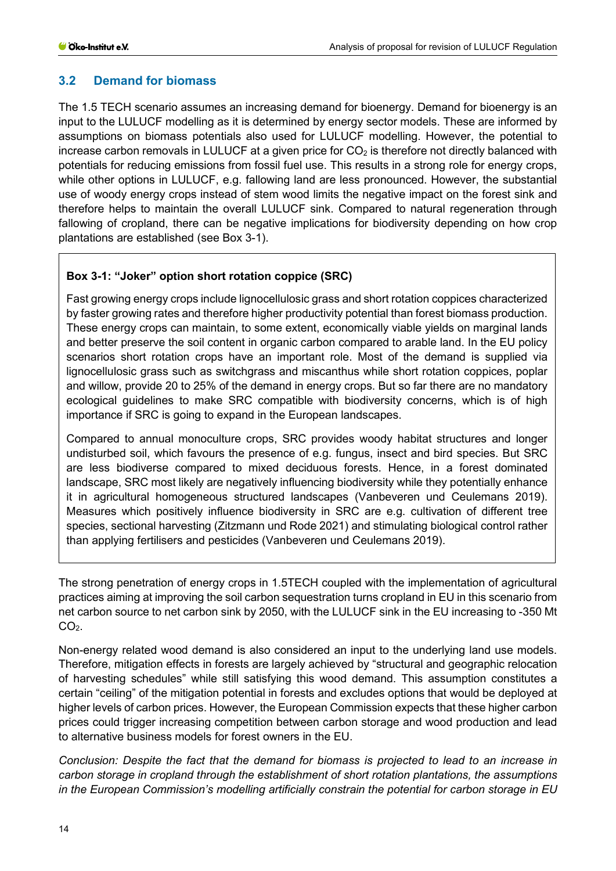## <span id="page-13-0"></span>**3.2 Demand for biomass**

The 1.5 TECH scenario assumes an increasing demand for bioenergy. Demand for bioenergy is an input to the LULUCF modelling as it is determined by energy sector models. These are informed by assumptions on biomass potentials also used for LULUCF modelling. However, the potential to increase carbon removals in LULUCF at a given price for  $CO<sub>2</sub>$  is therefore not directly balanced with potentials for reducing emissions from fossil fuel use. This results in a strong role for energy crops, while other options in LULUCF, e.g. fallowing land are less pronounced. However, the substantial use of woody energy crops instead of stem wood limits the negative impact on the forest sink and therefore helps to maintain the overall LULUCF sink. Compared to natural regeneration through fallowing of cropland, there can be negative implications for biodiversity depending on how crop plantations are established (see Box 3-1).

## **Box 3-1: "Joker" option short rotation coppice (SRC)**

Fast growing energy crops include lignocellulosic grass and short rotation coppices characterized by faster growing rates and therefore higher productivity potential than forest biomass production. These energy crops can maintain, to some extent, economically viable yields on marginal lands and better preserve the soil content in organic carbon compared to arable land. In the EU policy scenarios short rotation crops have an important role. Most of the demand is supplied via lignocellulosic grass such as switchgrass and miscanthus while short rotation coppices, poplar and willow, provide 20 to 25% of the demand in energy crops. But so far there are no mandatory ecological guidelines to make SRC compatible with biodiversity concerns, which is of high importance if SRC is going to expand in the European landscapes.

Compared to annual monoculture crops, SRC provides woody habitat structures and longer undisturbed soil, which favours the presence of e.g. fungus, insect and bird species. But SRC are less biodiverse compared to mixed deciduous forests. Hence, in a forest dominated landscape, SRC most likely are negatively influencing biodiversity while they potentially enhance it in agricultural homogeneous structured landscapes (Vanbeveren und Ceulemans 2019). Measures which positively influence biodiversity in SRC are e.g. cultivation of different tree species, sectional harvesting (Zitzmann und Rode 2021) and stimulating biological control rather than applying fertilisers and pesticides (Vanbeveren und Ceulemans 2019).

The strong penetration of energy crops in 1.5TECH coupled with the implementation of agricultural practices aiming at improving the soil carbon sequestration turns cropland in EU in this scenario from net carbon source to net carbon sink by 2050, with the LULUCF sink in the EU increasing to -350 Mt  $CO<sub>2</sub>$ .

Non-energy related wood demand is also considered an input to the underlying land use models. Therefore, mitigation effects in forests are largely achieved by "structural and geographic relocation of harvesting schedules" while still satisfying this wood demand. This assumption constitutes a certain "ceiling" of the mitigation potential in forests and excludes options that would be deployed at higher levels of carbon prices. However, the European Commission expects that these higher carbon prices could trigger increasing competition between carbon storage and wood production and lead to alternative business models for forest owners in the EU.

*Conclusion: Despite the fact that the demand for biomass is projected to lead to an increase in carbon storage in cropland through the establishment of short rotation plantations, the assumptions in the European Commission's modelling artificially constrain the potential for carbon storage in EU*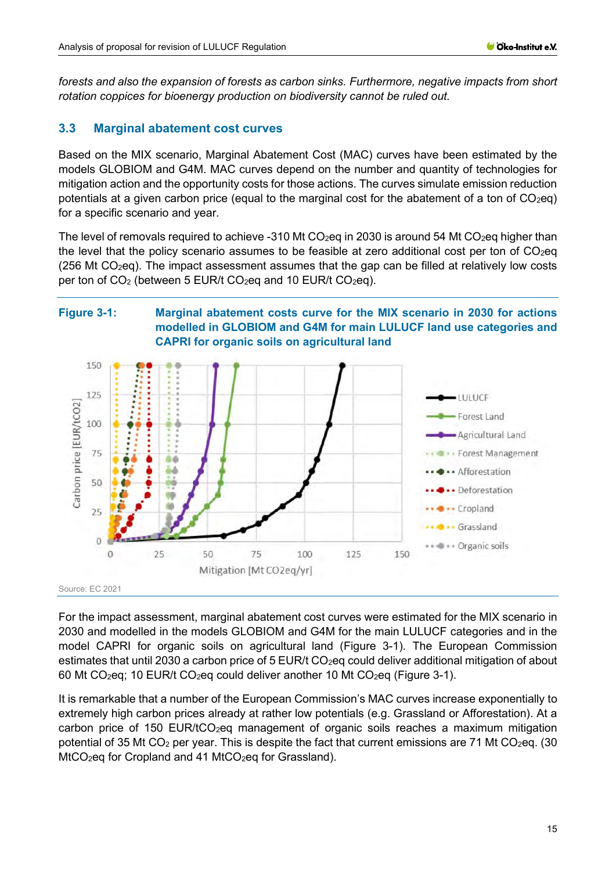*forests and also the expansion of forests as carbon sinks. Furthermore, negative impacts from short rotation coppices for bioenergy production on biodiversity cannot be ruled out.*

## <span id="page-14-0"></span>**3.3 Marginal abatement cost curves**

Based on the MIX scenario, Marginal Abatement Cost (MAC) curves have been estimated by the models GLOBIOM and G4M. MAC curves depend on the number and quantity of technologies for mitigation action and the opportunity costs for those actions. The curves simulate emission reduction potentials at a given carbon price (equal to the marginal cost for the abatement of a ton of  $CO<sub>2</sub>$ eq) for a specific scenario and year.

The level of removals required to achieve -310 Mt  $CO<sub>2</sub>$ eq in 2030 is around 54 Mt  $CO<sub>2</sub>$ eq higher than the level that the policy scenario assumes to be feasible at zero additional cost per ton of  $CO<sub>2</sub>$ eq (256 Mt  $CO<sub>2</sub>$ eq). The impact assessment assumes that the gap can be filled at relatively low costs per ton of  $CO<sub>2</sub>$  (between 5 EUR/t  $CO<sub>2</sub>$ eq and 10 EUR/t  $CO<sub>2</sub>$ eq).

## <span id="page-14-1"></span>**Figure 3-1: Marginal abatement costs curve for the MIX scenario in 2030 for actions modelled in GLOBIOM and G4M for main LULUCF land use categories and CAPRI for organic soils on agricultural land**



For the impact assessment, marginal abatement cost curves were estimated for the MIX scenario in 2030 and modelled in the models GLOBIOM and G4M for the main LULUCF categories and in the model CAPRI for organic soils on agricultural land [\(Figure 3-1\)](#page-14-1). The European Commission estimates that until 2030 a carbon price of 5 EUR/t CO<sub>2</sub>eq could deliver additional mitigation of about 60 Mt CO<sub>2</sub>eq; 10 EUR/t CO<sub>2</sub>eq could deliver another 10 Mt CO<sub>2</sub>eq [\(Figure 3-1\)](#page-14-1).

It is remarkable that a number of the European Commission's MAC curves increase exponentially to extremely high carbon prices already at rather low potentials (e.g. Grassland or Afforestation). At a carbon price of 150 EUR/tCO<sub>2</sub>eq management of organic soils reaches a maximum mitigation potential of 35 Mt CO<sub>2</sub> per year. This is despite the fact that current emissions are 71 Mt CO<sub>2</sub>eq. (30)  $MtCO<sub>2</sub>$ eq for Cropland and 41  $MtCO<sub>2</sub>$ eq for Grassland).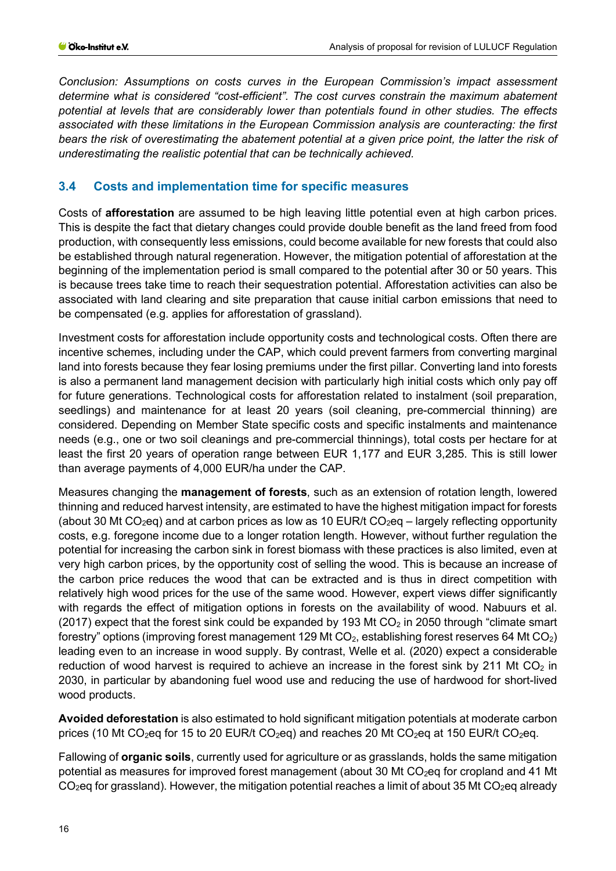*Conclusion: Assumptions on costs curves in the European Commission's impact assessment determine what is considered "cost-efficient". The cost curves constrain the maximum abatement potential at levels that are considerably lower than potentials found in other studies. The effects associated with these limitations in the European Commission analysis are counteracting: the first bears the risk of overestimating the abatement potential at a given price point, the latter the risk of underestimating the realistic potential that can be technically achieved.*

## <span id="page-15-0"></span>**3.4 Costs and implementation time for specific measures**

Costs of **afforestation** are assumed to be high leaving little potential even at high carbon prices. This is despite the fact that dietary changes could provide double benefit as the land freed from food production, with consequently less emissions, could become available for new forests that could also be established through natural regeneration. However, the mitigation potential of afforestation at the beginning of the implementation period is small compared to the potential after 30 or 50 years. This is because trees take time to reach their sequestration potential. Afforestation activities can also be associated with land clearing and site preparation that cause initial carbon emissions that need to be compensated (e.g. applies for afforestation of grassland).

Investment costs for afforestation include opportunity costs and technological costs. Often there are incentive schemes, including under the CAP, which could prevent farmers from converting marginal land into forests because they fear losing premiums under the first pillar. Converting land into forests is also a permanent land management decision with particularly high initial costs which only pay off for future generations. Technological costs for afforestation related to instalment (soil preparation, seedlings) and maintenance for at least 20 years (soil cleaning, pre-commercial thinning) are considered. Depending on Member State specific costs and specific instalments and maintenance needs (e.g., one or two soil cleanings and pre-commercial thinnings), total costs per hectare for at least the first 20 years of operation range between EUR 1,177 and EUR 3,285. This is still lower than average payments of 4,000 EUR/ha under the CAP.

Measures changing the **management of forests**, such as an extension of rotation length, lowered thinning and reduced harvest intensity, are estimated to have the highest mitigation impact for forests (about 30 Mt CO<sub>2</sub>eq) and at carbon prices as low as 10 EUR/t CO<sub>2</sub>eq – largely reflecting opportunity costs, e.g. foregone income due to a longer rotation length. However, without further regulation the potential for increasing the carbon sink in forest biomass with these practices is also limited, even at very high carbon prices, by the opportunity cost of selling the wood. This is because an increase of the carbon price reduces the wood that can be extracted and is thus in direct competition with relatively high wood prices for the use of the same wood. However, expert views differ significantly with regards the effect of mitigation options in forests on the availability of wood. Nabuurs et al. (2017) expect that the forest sink could be expanded by 193 Mt  $CO<sub>2</sub>$  in 2050 through "climate smart forestry" options (improving forest management 129 Mt  $CO<sub>2</sub>$ , establishing forest reserves 64 Mt  $CO<sub>2</sub>$ ) leading even to an increase in wood supply. By contrast, Welle et al. (2020) expect a considerable reduction of wood harvest is required to achieve an increase in the forest sink by 211 Mt  $CO<sub>2</sub>$  in 2030, in particular by abandoning fuel wood use and reducing the use of hardwood for short-lived wood products.

**Avoided deforestation** is also estimated to hold significant mitigation potentials at moderate carbon prices (10 Mt CO<sub>2</sub>eq for 15 to 20 EUR/t CO<sub>2</sub>eq) and reaches 20 Mt CO<sub>2</sub>eq at 150 EUR/t CO<sub>2</sub>eq.

Fallowing of **organic soils**, currently used for agriculture or as grasslands, holds the same mitigation potential as measures for improved forest management (about 30 Mt CO<sub>2</sub>eq for cropland and 41 Mt  $CO<sub>2</sub>$ eq for grassland). However, the mitigation potential reaches a limit of about 35 Mt CO<sub>2</sub>eq already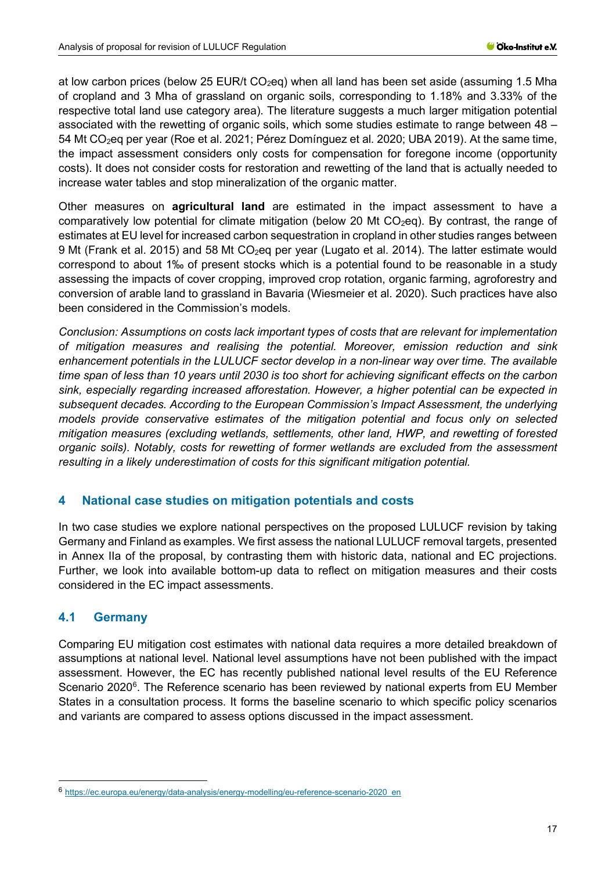at low carbon prices (below 25 EUR/t  $CO<sub>2</sub>eq$ ) when all land has been set aside (assuming 1.5 Mha of cropland and 3 Mha of grassland on organic soils, corresponding to 1.18% and 3.33% of the respective total land use category area). The literature suggests a much larger mitigation potential associated with the rewetting of organic soils, which some studies estimate to range between 48 – 54 Mt CO2eq per year (Roe et al. 2021; Pérez Domínguez et al. 2020; UBA 2019). At the same time, the impact assessment considers only costs for compensation for foregone income (opportunity costs). It does not consider costs for restoration and rewetting of the land that is actually needed to increase water tables and stop mineralization of the organic matter.

Other measures on **agricultural land** are estimated in the impact assessment to have a comparatively low potential for climate mitigation (below 20 Mt  $CO<sub>2</sub>$ eq). By contrast, the range of estimates at EU level for increased carbon sequestration in cropland in other studies ranges between 9 Mt (Frank et al. 2015) and 58 Mt CO<sub>2</sub>eq per year (Lugato et al. 2014). The latter estimate would correspond to about 1‰ of present stocks which is a potential found to be reasonable in a study assessing the impacts of cover cropping, improved crop rotation, organic farming, agroforestry and conversion of arable land to grassland in Bavaria (Wiesmeier et al. 2020). Such practices have also been considered in the Commission's models.

*Conclusion: Assumptions on costs lack important types of costs that are relevant for implementation of mitigation measures and realising the potential. Moreover, emission reduction and sink enhancement potentials in the LULUCF sector develop in a non-linear way over time. The available time span of less than 10 years until 2030 is too short for achieving significant effects on the carbon sink, especially regarding increased afforestation. However, a higher potential can be expected in subsequent decades. According to the European Commission's Impact Assessment, the underlying models provide conservative estimates of the mitigation potential and focus only on selected mitigation measures (excluding wetlands, settlements, other land, HWP, and rewetting of forested organic soils). Notably, costs for rewetting of former wetlands are excluded from the assessment resulting in a likely underestimation of costs for this significant mitigation potential.*

#### <span id="page-16-0"></span>**4 National case studies on mitigation potentials and costs**

In two case studies we explore national perspectives on the proposed LULUCF revision by taking Germany and Finland as examples. We first assess the national LULUCF removal targets, presented in Annex IIa of the proposal, by contrasting them with historic data, national and EC projections. Further, we look into available bottom-up data to reflect on mitigation measures and their costs considered in the EC impact assessments.

## <span id="page-16-1"></span>**4.1 Germany**

Comparing EU mitigation cost estimates with national data requires a more detailed breakdown of assumptions at national level. National level assumptions have not been published with the impact assessment. However, the EC has recently published national level results of the EU Reference Scenario 2020<sup>[6](#page-16-2)</sup>. The Reference scenario has been reviewed by national experts from EU Member States in a consultation process. It forms the baseline scenario to which specific policy scenarios and variants are compared to assess options discussed in the impact assessment.

<span id="page-16-2"></span><sup>6</sup> [https://ec.europa.eu/energy/data-analysis/energy-modelling/eu-reference-scenario-2020\\_en](https://ec.europa.eu/energy/data-analysis/energy-modelling/eu-reference-scenario-2020_en)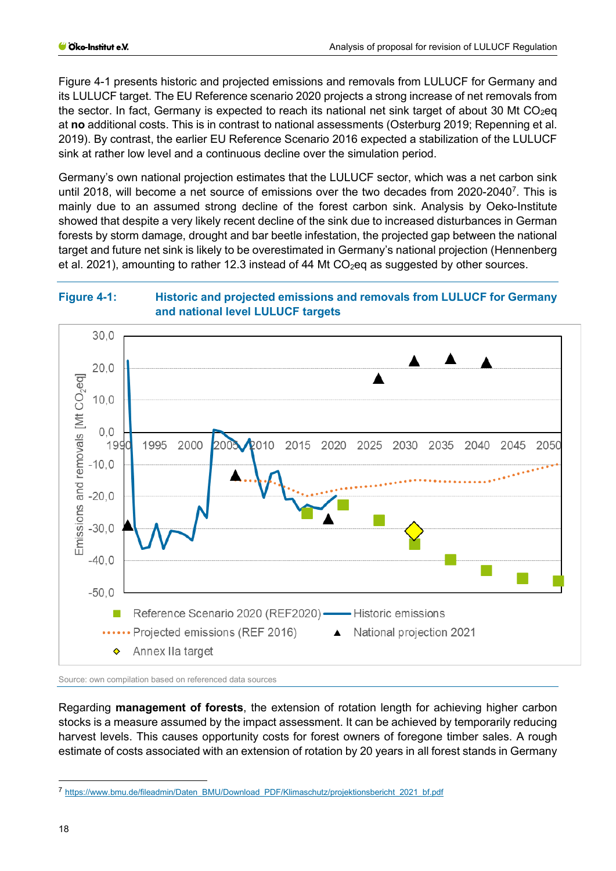[Figure 4-1](#page-17-0) presents historic and projected emissions and removals from LULUCF for Germany and its LULUCF target. The EU Reference scenario 2020 projects a strong increase of net removals from the sector. In fact, Germany is expected to reach its national net sink target of about 30 Mt  $CO<sub>2</sub>$ eq at **no** additional costs. This is in contrast to national assessments (Osterburg 2019; Repenning et al. 2019). By contrast, the earlier EU Reference Scenario 2016 expected a stabilization of the LULUCF sink at rather low level and a continuous decline over the simulation period.

Germany's own national projection estimates that the LULUCF sector, which was a net carbon sink until 2018, will become a net source of emissions over the two decades from 2020-2040<sup>[7](#page-17-1)</sup>. This is mainly due to an assumed strong decline of the forest carbon sink. Analysis by Oeko-Institute showed that despite a very likely recent decline of the sink due to increased disturbances in German forests by storm damage, drought and bar beetle infestation, the projected gap between the national target and future net sink is likely to be overestimated in Germany's national projection (Hennenberg et al. 2021), amounting to rather 12.3 instead of 44 Mt  $CO<sub>2</sub>$ eq as suggested by other sources.

#### <span id="page-17-0"></span>**Figure 4-1: Historic and projected emissions and removals from LULUCF for Germany and national level LULUCF targets**



Source: own compilation based on referenced data sources

Regarding **management of forests**, the extension of rotation length for achieving higher carbon stocks is a measure assumed by the impact assessment. It can be achieved by temporarily reducing harvest levels. This causes opportunity costs for forest owners of foregone timber sales. A rough estimate of costs associated with an extension of rotation by 20 years in all forest stands in Germany

<span id="page-17-1"></span><sup>7</sup> [https://www.bmu.de/fileadmin/Daten\\_BMU/Download\\_PDF/Klimaschutz/projektionsbericht\\_2021\\_bf.pdf](https://www.bmu.de/fileadmin/Daten_BMU/Download_PDF/Klimaschutz/projektionsbericht_2021_bf.pdf)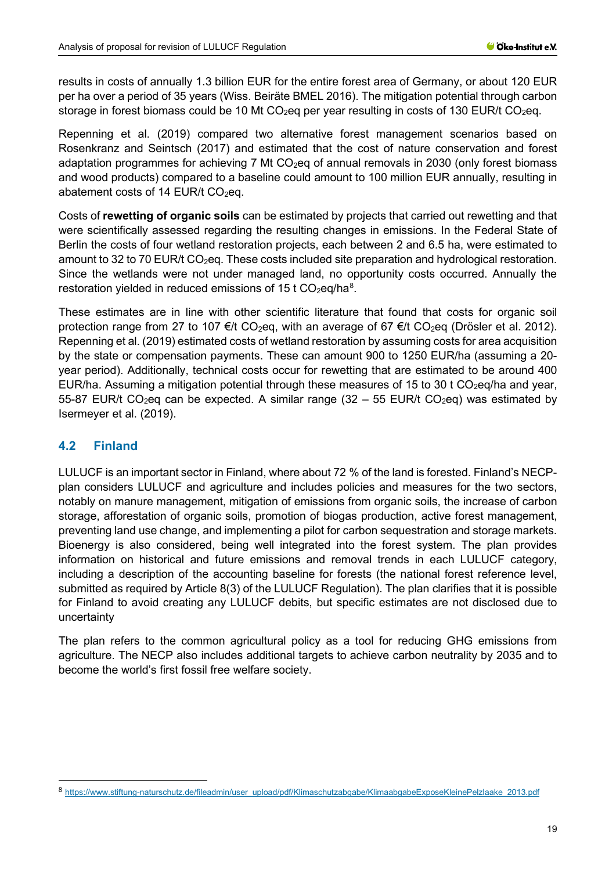results in costs of annually 1.3 billion EUR for the entire forest area of Germany, or about 120 EUR per ha over a period of 35 years (Wiss. Beiräte BMEL 2016). The mitigation potential through carbon storage in forest biomass could be 10 Mt  $CO<sub>2</sub>$ eq per year resulting in costs of 130 EUR/t  $CO<sub>2</sub>$ eq.

Repenning et al. (2019) compared two alternative forest management scenarios based on Rosenkranz and Seintsch (2017) and estimated that the cost of nature conservation and forest adaptation programmes for achieving 7 Mt  $CO<sub>2</sub>$ eq of annual removals in 2030 (only forest biomass and wood products) compared to a baseline could amount to 100 million EUR annually, resulting in abatement costs of 14 EUR/t  $CO<sub>2</sub>$ eq.

Costs of **rewetting of organic soils** can be estimated by projects that carried out rewetting and that were scientifically assessed regarding the resulting changes in emissions. In the Federal State of Berlin the costs of four wetland restoration projects, each between 2 and 6.5 ha, were estimated to amount to 32 to 70 EUR/t CO<sub>2</sub>eq. These costs included site preparation and hydrological restoration. Since the wetlands were not under managed land, no opportunity costs occurred. Annually the restoration yielded in reduced emissions of 15 t  $CO<sub>2</sub>$ eq/ha $<sup>8</sup>$  $<sup>8</sup>$  $<sup>8</sup>$ .</sup>

These estimates are in line with other scientific literature that found that costs for organic soil protection range from 27 to 107 €/t CO<sub>2</sub>eq, with an average of 67 €/t CO<sub>2</sub>eq (Drösler et al. 2012). Repenning et al. (2019) estimated costs of wetland restoration by assuming costs for area acquisition by the state or compensation payments. These can amount 900 to 1250 EUR/ha (assuming a 20 year period). Additionally, technical costs occur for rewetting that are estimated to be around 400 EUR/ha. Assuming a mitigation potential through these measures of 15 to 30 t CO<sub>2</sub>eq/ha and year, 55-87 EUR/t CO<sub>2</sub>eq can be expected. A similar range (32 – 55 EUR/t CO<sub>2</sub>eq) was estimated by Isermeyer et al. (2019).

## <span id="page-18-0"></span>**4.2 Finland**

LULUCF is an important sector in Finland, where about 72 % of the land is forested. Finland's NECPplan considers LULUCF and agriculture and includes policies and measures for the two sectors, notably on manure management, mitigation of emissions from organic soils, the increase of carbon storage, afforestation of organic soils, promotion of biogas production, active forest management, preventing land use change, and implementing a pilot for carbon sequestration and storage markets. Bioenergy is also considered, being well integrated into the forest system. The plan provides information on historical and future emissions and removal trends in each LULUCF category, including a description of the accounting baseline for forests (the national forest reference level, submitted as required by Article 8(3) of the LULUCF Regulation). The plan clarifies that it is possible for Finland to avoid creating any LULUCF debits, but specific estimates are not disclosed due to uncertainty

The plan refers to the common agricultural policy as a tool for reducing GHG emissions from agriculture. The NECP also includes additional targets to achieve carbon neutrality by 2035 and to become the world's first fossil free welfare society.

<span id="page-18-1"></span><sup>8</sup> [https://www.stiftung-naturschutz.de/fileadmin/user\\_upload/pdf/Klimaschutzabgabe/KlimaabgabeExposeKleinePelzlaake\\_2013.pdf](https://www.stiftung-naturschutz.de/fileadmin/user_upload/pdf/Klimaschutzabgabe/KlimaabgabeExposeKleinePelzlaake_2013.pdf)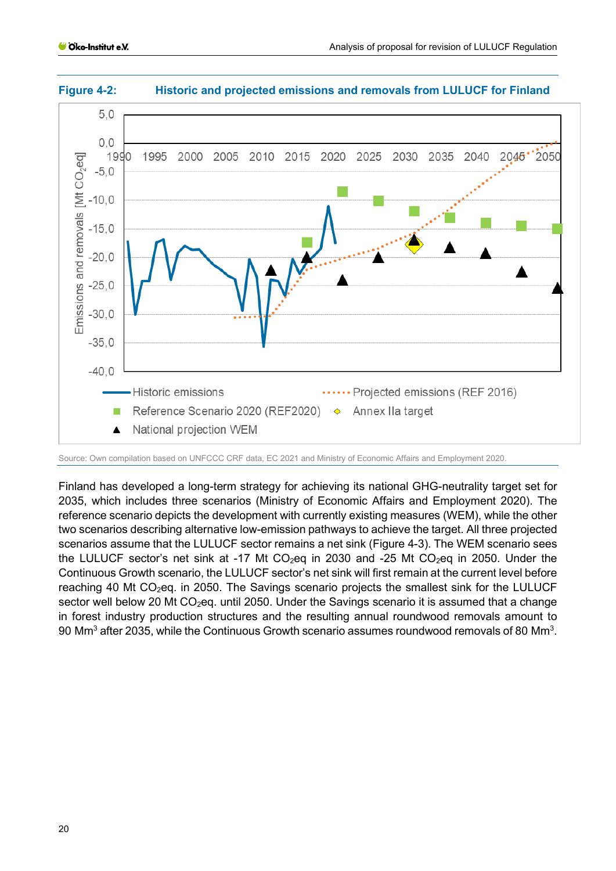



Source: Own compilation based on UNFCCC CRF data, EC 2021 and Ministry of Economic Affairs and Employment 2020.

Finland has developed a long-term strategy for achieving its national GHG-neutrality target set for 2035, which includes three scenarios (Ministry of Economic Affairs and Employment 2020). The reference scenario depicts the development with currently existing measures (WEM), while the other two scenarios describing alternative low-emission pathways to achieve the target. All three projected scenarios assume that the LULUCF sector remains a net sink (Figure 4-3). The WEM scenario sees the LULUCF sector's net sink at -17 Mt  $CO<sub>2</sub>$ eq in 2030 and -25 Mt  $CO<sub>2</sub>$ eq in 2050. Under the Continuous Growth scenario, the LULUCF sector's net sink will first remain at the current level before reaching 40 Mt CO<sub>2</sub>eq. in 2050. The Savings scenario projects the smallest sink for the LULUCF sector well below 20 Mt CO<sub>2</sub>eq. until 2050. Under the Savings scenario it is assumed that a change in forest industry production structures and the resulting annual roundwood removals amount to  $90 \text{ Mm}^3$  after 2035, while the Continuous Growth scenario assumes roundwood removals of 80 Mm $^3$ .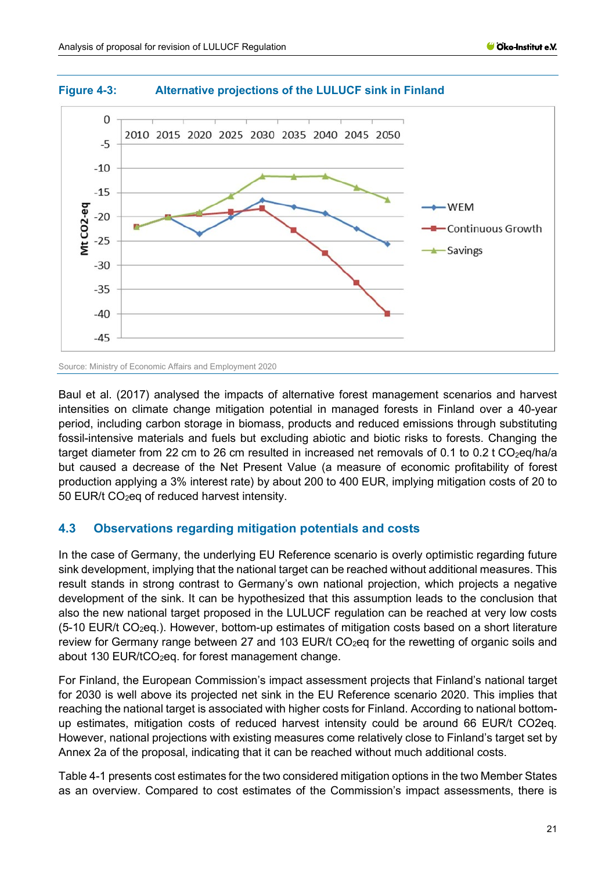

#### **Figure 4-3: Alternative projections of the LULUCF sink in Finland**

Source: Ministry of Economic Affairs and Employment 2020

Baul et al. (2017) analysed the impacts of alternative forest management scenarios and harvest intensities on climate change mitigation potential in managed forests in Finland over a 40-year period, including carbon storage in biomass, products and reduced emissions through substituting fossil-intensive materials and fuels but excluding abiotic and biotic risks to forests. Changing the target diameter from 22 cm to 26 cm resulted in increased net removals of 0.1 to 0.2 t CO<sub>2</sub>eq/ha/a but caused a decrease of the Net Present Value (a measure of economic profitability of forest production applying a 3% interest rate) by about 200 to 400 EUR, implying mitigation costs of 20 to 50 EUR/t CO<sub>2</sub>eq of reduced harvest intensity.

#### <span id="page-20-0"></span>**4.3 Observations regarding mitigation potentials and costs**

In the case of Germany, the underlying EU Reference scenario is overly optimistic regarding future sink development, implying that the national target can be reached without additional measures. This result stands in strong contrast to Germany's own national projection, which projects a negative development of the sink. It can be hypothesized that this assumption leads to the conclusion that also the new national target proposed in the LULUCF regulation can be reached at very low costs  $(5-10$  EUR/t CO<sub>2</sub>eq.). However, bottom-up estimates of mitigation costs based on a short literature review for Germany range between 27 and 103 EUR/t CO<sub>2</sub>eq for the rewetting of organic soils and about 130 EUR/ $tCO<sub>2</sub>$ eq. for forest management change.

For Finland, the European Commission's impact assessment projects that Finland's national target for 2030 is well above its projected net sink in the EU Reference scenario 2020. This implies that reaching the national target is associated with higher costs for Finland. According to national bottomup estimates, mitigation costs of reduced harvest intensity could be around 66 EUR/t CO2eq. However, national projections with existing measures come relatively close to Finland's target set by Annex 2a of the proposal, indicating that it can be reached without much additional costs.

[Table 4-1](#page-21-2) presents cost estimates for the two considered mitigation options in the two Member States as an overview. Compared to cost estimates of the Commission's impact assessments, there is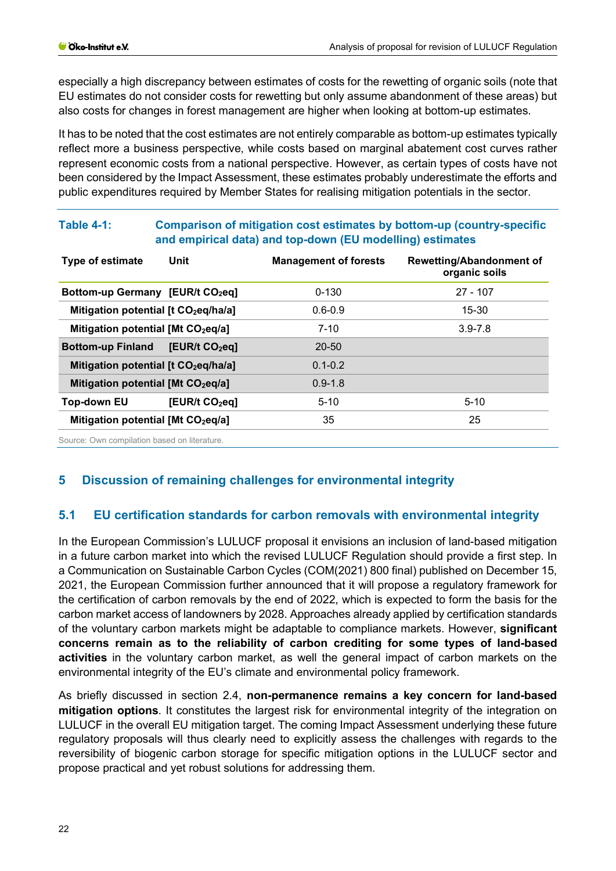especially a high discrepancy between estimates of costs for the rewetting of organic soils (note that EU estimates do not consider costs for rewetting but only assume abandonment of these areas) but also costs for changes in forest management are higher when looking at bottom-up estimates.

It has to be noted that the cost estimates are not entirely comparable as bottom-up estimates typically reflect more a business perspective, while costs based on marginal abatement cost curves rather represent economic costs from a national perspective. However, as certain types of costs have not been considered by the Impact Assessment, these estimates probably underestimate the efforts and public expenditures required by Member States for realising mitigation potentials in the sector.

| <b>Type of estimate</b>                          | <b>Unit</b>                | <b>Management of forests</b> | <b>Rewetting/Abandonment of</b><br>organic soils |
|--------------------------------------------------|----------------------------|------------------------------|--------------------------------------------------|
| Bottom-up Germany [EUR/t CO <sub>2</sub> eq]     |                            | $0 - 130$                    | $27 - 107$                                       |
| Mitigation potential [t CO <sub>2</sub> eq/ha/a] |                            | $0.6 - 0.9$                  | $15 - 30$                                        |
| Mitigation potential [Mt CO <sub>2</sub> eq/a]   |                            | $7 - 10$                     | $3.9 - 7.8$                                      |
| <b>Bottom-up Finland</b>                         | [EUR/t CO <sub>2</sub> eq] | $20 - 50$                    |                                                  |
| Mitigation potential [t CO <sub>2</sub> eq/ha/a] |                            | $0.1 - 0.2$                  |                                                  |
| Mitigation potential [Mt CO <sub>2</sub> eq/a]   |                            | $0.9 - 1.8$                  |                                                  |
| <b>Top-down EU</b>                               | [EUR/t CO <sub>2</sub> eq] | $5 - 10$                     | $5 - 10$                                         |
| Mitigation potential [Mt CO <sub>2</sub> eq/a]   |                            | 35                           | 25                                               |

#### <span id="page-21-2"></span>**Table 4-1: Comparison of mitigation cost estimates by bottom-up (country-specific and empirical data) and top-down (EU modelling) estimates**

Source: Own compilation based on literature.

## <span id="page-21-0"></span>**5 Discussion of remaining challenges for environmental integrity**

## <span id="page-21-1"></span>**5.1 EU certification standards for carbon removals with environmental integrity**

In the European Commission's LULUCF proposal it envisions an inclusion of land-based mitigation in a future carbon market into which the revised LULUCF Regulation should provide a first step. In a Communication on Sustainable Carbon Cycles (COM(2021) 800 final) published on December 15, 2021, the European Commission further announced that it will propose a regulatory framework for the certification of carbon removals by the end of 2022, which is expected to form the basis for the carbon market access of landowners by 2028. Approaches already applied by certification standards of the voluntary carbon markets might be adaptable to compliance markets. However, **significant concerns remain as to the reliability of carbon crediting for some types of land-based activities** in the voluntary carbon market, as well the general impact of carbon markets on the environmental integrity of the EU's climate and environmental policy framework.

As briefly discussed in section 2.4, **non-permanence remains a key concern for land-based mitigation options**. It constitutes the largest risk for environmental integrity of the integration on LULUCF in the overall EU mitigation target. The coming Impact Assessment underlying these future regulatory proposals will thus clearly need to explicitly assess the challenges with regards to the reversibility of biogenic carbon storage for specific mitigation options in the LULUCF sector and propose practical and yet robust solutions for addressing them.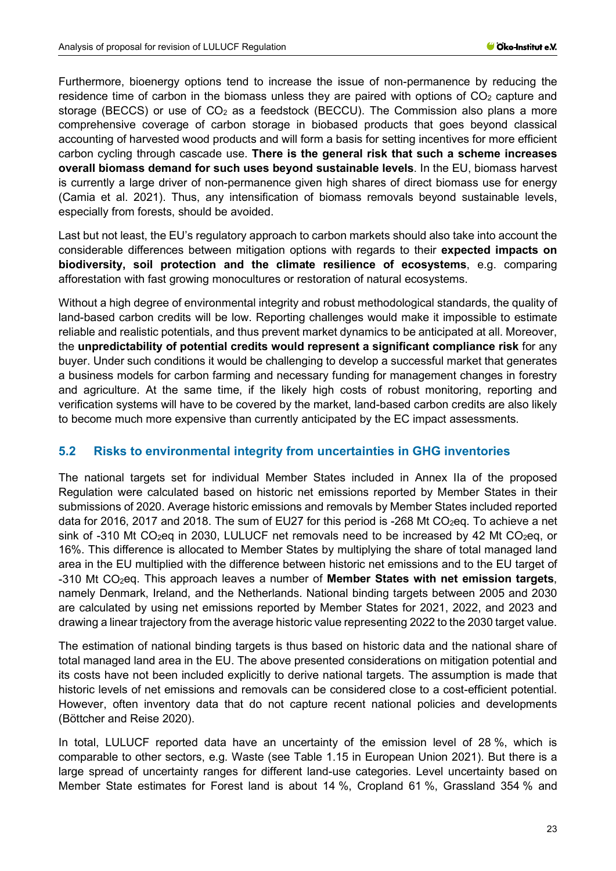Furthermore, bioenergy options tend to increase the issue of non-permanence by reducing the residence time of carbon in the biomass unless they are paired with options of  $CO<sub>2</sub>$  capture and storage (BECCS) or use of  $CO<sub>2</sub>$  as a feedstock (BECCU). The Commission also plans a more comprehensive coverage of carbon storage in biobased products that goes beyond classical accounting of harvested wood products and will form a basis for setting incentives for more efficient carbon cycling through cascade use. **There is the general risk that such a scheme increases overall biomass demand for such uses beyond sustainable levels**. In the EU, biomass harvest is currently a large driver of non-permanence given high shares of direct biomass use for energy (Camia et al. 2021). Thus, any intensification of biomass removals beyond sustainable levels, especially from forests, should be avoided.

Last but not least, the EU's regulatory approach to carbon markets should also take into account the considerable differences between mitigation options with regards to their **expected impacts on biodiversity, soil protection and the climate resilience of ecosystems**, e.g. comparing afforestation with fast growing monocultures or restoration of natural ecosystems.

Without a high degree of environmental integrity and robust methodological standards, the quality of land-based carbon credits will be low. Reporting challenges would make it impossible to estimate reliable and realistic potentials, and thus prevent market dynamics to be anticipated at all. Moreover, the **unpredictability of potential credits would represent a significant compliance risk** for any buyer. Under such conditions it would be challenging to develop a successful market that generates a business models for carbon farming and necessary funding for management changes in forestry and agriculture. At the same time, if the likely high costs of robust monitoring, reporting and verification systems will have to be covered by the market, land-based carbon credits are also likely to become much more expensive than currently anticipated by the EC impact assessments.

#### <span id="page-22-0"></span>**5.2 Risks to environmental integrity from uncertainties in GHG inventories**

The national targets set for individual Member States included in Annex IIa of the proposed Regulation were calculated based on historic net emissions reported by Member States in their submissions of 2020. Average historic emissions and removals by Member States included reported data for 2016, 2017 and 2018. The sum of EU27 for this period is -268 Mt CO<sub>2</sub>eq. To achieve a net sink of -310 Mt CO<sub>2</sub>eq in 2030, LULUCF net removals need to be increased by 42 Mt CO<sub>2</sub>eq, or 16%. This difference is allocated to Member States by multiplying the share of total managed land area in the EU multiplied with the difference between historic net emissions and to the EU target of -310 Mt CO2eq. This approach leaves a number of **Member States with net emission targets**, namely Denmark, Ireland, and the Netherlands. National binding targets between 2005 and 2030 are calculated by using net emissions reported by Member States for 2021, 2022, and 2023 and drawing a linear trajectory from the average historic value representing 2022 to the 2030 target value.

The estimation of national binding targets is thus based on historic data and the national share of total managed land area in the EU. The above presented considerations on mitigation potential and its costs have not been included explicitly to derive national targets. The assumption is made that historic levels of net emissions and removals can be considered close to a cost-efficient potential. However, often inventory data that do not capture recent national policies and developments (Böttcher and Reise 2020).

In total, LULUCF reported data have an uncertainty of the emission level of 28 %, which is comparable to other sectors, e.g. Waste (see Table 1.15 in European Union 2021). But there is a large spread of uncertainty ranges for different land-use categories. Level uncertainty based on Member State estimates for Forest land is about 14 %, Cropland 61 %, Grassland 354 % and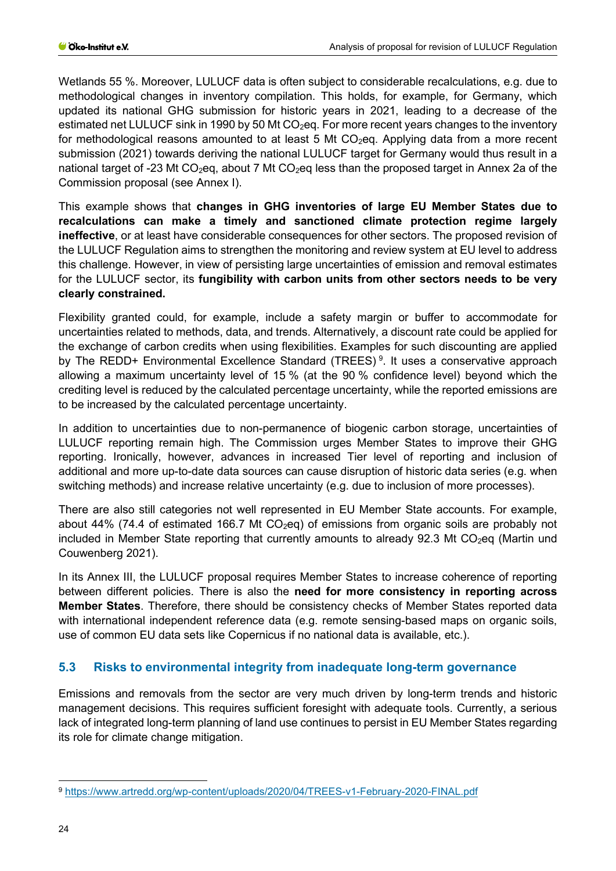Wetlands 55 %. Moreover, LULUCF data is often subject to considerable recalculations, e.g. due to methodological changes in inventory compilation. This holds, for example, for Germany, which updated its national GHG submission for historic years in 2021, leading to a decrease of the estimated net LULUCF sink in 1990 by 50 Mt CO<sub>2</sub>eq. For more recent years changes to the inventory for methodological reasons amounted to at least 5 Mt  $CO<sub>2</sub>$ eq. Applying data from a more recent submission (2021) towards deriving the national LULUCF target for Germany would thus result in a national target of -23 Mt CO<sub>2</sub>eq, about 7 Mt CO<sub>2</sub>eq less than the proposed target in Annex 2a of the Commission proposal (see Annex I).

This example shows that **changes in GHG inventories of large EU Member States due to recalculations can make a timely and sanctioned climate protection regime largely ineffective**, or at least have considerable consequences for other sectors. The proposed revision of the LULUCF Regulation aims to strengthen the monitoring and review system at EU level to address this challenge. However, in view of persisting large uncertainties of emission and removal estimates for the LULUCF sector, its **fungibility with carbon units from other sectors needs to be very clearly constrained.**

Flexibility granted could, for example, include a safety margin or buffer to accommodate for uncertainties related to methods, data, and trends. Alternatively, a discount rate could be applied for the exchange of carbon credits when using flexibilities. Examples for such discounting are applied by The REDD+ Environmental Excellence Standard (TREES)<sup>[9](#page-23-1)</sup>. It uses a conservative approach allowing a maximum uncertainty level of 15 % (at the 90 % confidence level) beyond which the crediting level is reduced by the calculated percentage uncertainty, while the reported emissions are to be increased by the calculated percentage uncertainty.

In addition to uncertainties due to non-permanence of biogenic carbon storage, uncertainties of LULUCF reporting remain high. The Commission urges Member States to improve their GHG reporting. Ironically, however, advances in increased Tier level of reporting and inclusion of additional and more up-to-date data sources can cause disruption of historic data series (e.g. when switching methods) and increase relative uncertainty (e.g. due to inclusion of more processes).

There are also still categories not well represented in EU Member State accounts. For example, about 44% (74.4 of estimated 166.7 Mt  $CO<sub>2</sub>$ eq) of emissions from organic soils are probably not included in Member State reporting that currently amounts to already 92.3 Mt  $CO<sub>2</sub>$ eq (Martin und Couwenberg 2021).

In its Annex III, the LULUCF proposal requires Member States to increase coherence of reporting between different policies. There is also the **need for more consistency in reporting across Member States**. Therefore, there should be consistency checks of Member States reported data with international independent reference data (e.g. remote sensing-based maps on organic soils, use of common EU data sets like Copernicus if no national data is available, etc.).

## <span id="page-23-0"></span>**5.3 Risks to environmental integrity from inadequate long-term governance**

Emissions and removals from the sector are very much driven by long-term trends and historic management decisions. This requires sufficient foresight with adequate tools. Currently, a serious lack of integrated long-term planning of land use continues to persist in EU Member States regarding its role for climate change mitigation.

<span id="page-23-1"></span><sup>9</sup> <https://www.artredd.org/wp-content/uploads/2020/04/TREES-v1-February-2020-FINAL.pdf>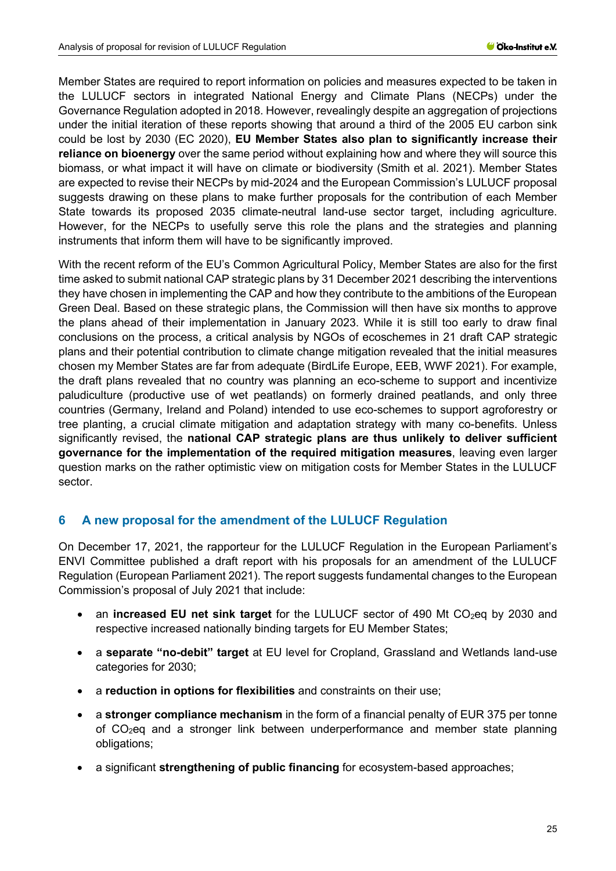Member States are required to report information on policies and measures expected to be taken in the LULUCF sectors in integrated National Energy and Climate Plans (NECPs) under the Governance Regulation adopted in 2018. However, revealingly despite an aggregation of projections under the initial iteration of these reports showing that around a third of the 2005 EU carbon sink could be lost by 2030 (EC 2020), **EU Member States also plan to significantly increase their reliance on bioenergy** over the same period without explaining how and where they will source this biomass, or what impact it will have on climate or biodiversity (Smith et al. 2021). Member States are expected to revise their NECPs by mid-2024 and the European Commission's LULUCF proposal suggests drawing on these plans to make further proposals for the contribution of each Member State towards its proposed 2035 climate-neutral land-use sector target, including agriculture. However, for the NECPs to usefully serve this role the plans and the strategies and planning instruments that inform them will have to be significantly improved.

With the recent reform of the EU's Common Agricultural Policy, Member States are also for the first time asked to submit national CAP strategic plans by 31 December 2021 describing the interventions they have chosen in implementing the CAP and how they contribute to the ambitions of the European Green Deal. Based on these strategic plans, the Commission will then have six months to approve the plans ahead of their implementation in January 2023. While it is still too early to draw final conclusions on the process, a critical analysis by NGOs of ecoschemes in 21 draft CAP strategic plans and their potential contribution to climate change mitigation revealed that the initial measures chosen my Member States are far from adequate (BirdLife Europe, EEB, WWF 2021). For example, the draft plans revealed that no country was planning an eco-scheme to support and incentivize paludiculture (productive use of wet peatlands) on formerly drained peatlands, and only three countries (Germany, Ireland and Poland) intended to use eco-schemes to support agroforestry or tree planting, a crucial climate mitigation and adaptation strategy with many co-benefits. Unless significantly revised, the **national CAP strategic plans are thus unlikely to deliver sufficient governance for the implementation of the required mitigation measures**, leaving even larger question marks on the rather optimistic view on mitigation costs for Member States in the LULUCF sector.

## <span id="page-24-0"></span>**6 A new proposal for the amendment of the LULUCF Regulation**

On December 17, 2021, the rapporteur for the LULUCF Regulation in the European Parliament's ENVI Committee published a draft report with his proposals for an amendment of the LULUCF Regulation (European Parliament 2021). The report suggests fundamental changes to the European Commission's proposal of July 2021 that include:

- an **increased EU net sink target** for the LULUCF sector of 490 Mt CO<sub>2</sub>eq by 2030 and respective increased nationally binding targets for EU Member States;
- a **separate "no-debit" target** at EU level for Cropland, Grassland and Wetlands land-use categories for 2030;
- a **reduction in options for flexibilities** and constraints on their use;
- a **stronger compliance mechanism** in the form of a financial penalty of EUR 375 per tonne of CO2eq and a stronger link between underperformance and member state planning obligations;
- a significant **strengthening of public financing** for ecosystem-based approaches;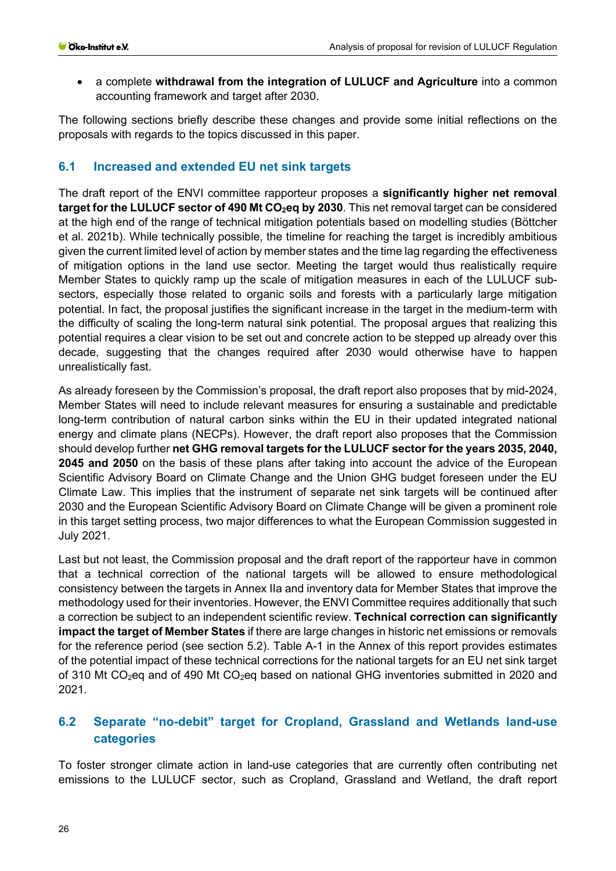• a complete **withdrawal from the integration of LULUCF and Agriculture** into a common accounting framework and target after 2030.

The following sections briefly describe these changes and provide some initial reflections on the proposals with regards to the topics discussed in this paper.

## <span id="page-25-0"></span>**6.1 Increased and extended EU net sink targets**

The draft report of the ENVI committee rapporteur proposes a **significantly higher net removal**  target for the LULUCF sector of 490 Mt CO<sub>2</sub>eq by 2030. This net removal target can be considered at the high end of the range of technical mitigation potentials based on modelling studies (Böttcher et al. 2021b). While technically possible, the timeline for reaching the target is incredibly ambitious given the current limited level of action by member states and the time lag regarding the effectiveness of mitigation options in the land use sector. Meeting the target would thus realistically require Member States to quickly ramp up the scale of mitigation measures in each of the LULUCF subsectors, especially those related to organic soils and forests with a particularly large mitigation potential. In fact, the proposal justifies the significant increase in the target in the medium-term with the difficulty of scaling the long-term natural sink potential. The proposal argues that realizing this potential requires a clear vision to be set out and concrete action to be stepped up already over this decade, suggesting that the changes required after 2030 would otherwise have to happen unrealistically fast.

As already foreseen by the Commission's proposal, the draft report also proposes that by mid-2024, Member States will need to include relevant measures for ensuring a sustainable and predictable long-term contribution of natural carbon sinks within the EU in their updated integrated national energy and climate plans (NECPs). However, the draft report also proposes that the Commission should develop further **net GHG removal targets for the LULUCF sector for the years 2035, 2040, 2045 and 2050** on the basis of these plans after taking into account the advice of the European Scientific Advisory Board on Climate Change and the Union GHG budget foreseen under the EU Climate Law. This implies that the instrument of separate net sink targets will be continued after 2030 and the European Scientific Advisory Board on Climate Change will be given a prominent role in this target setting process, two major differences to what the European Commission suggested in July 2021.

Last but not least, the Commission proposal and the draft report of the rapporteur have in common that a technical correction of the national targets will be allowed to ensure methodological consistency between the targets in Annex IIa and inventory data for Member States that improve the methodology used for their inventories. However, the ENVI Committee requires additionally that such a correction be subject to an independent scientific review. **Technical correction can significantly impact the target of Member States** if there are large changes in historic net emissions or removals for the reference period (see section 5.2). [Table A-1](#page-32-1) in the Annex of this report provides estimates of the potential impact of these technical corrections for the national targets for an EU net sink target of 310 Mt CO<sub>2</sub>eq and of 490 Mt CO<sub>2</sub>eq based on national GHG inventories submitted in 2020 and 2021.

## <span id="page-25-1"></span>**6.2 Separate "no-debit" target for Cropland, Grassland and Wetlands land-use categories**

To foster stronger climate action in land-use categories that are currently often contributing net emissions to the LULUCF sector, such as Cropland, Grassland and Wetland, the draft report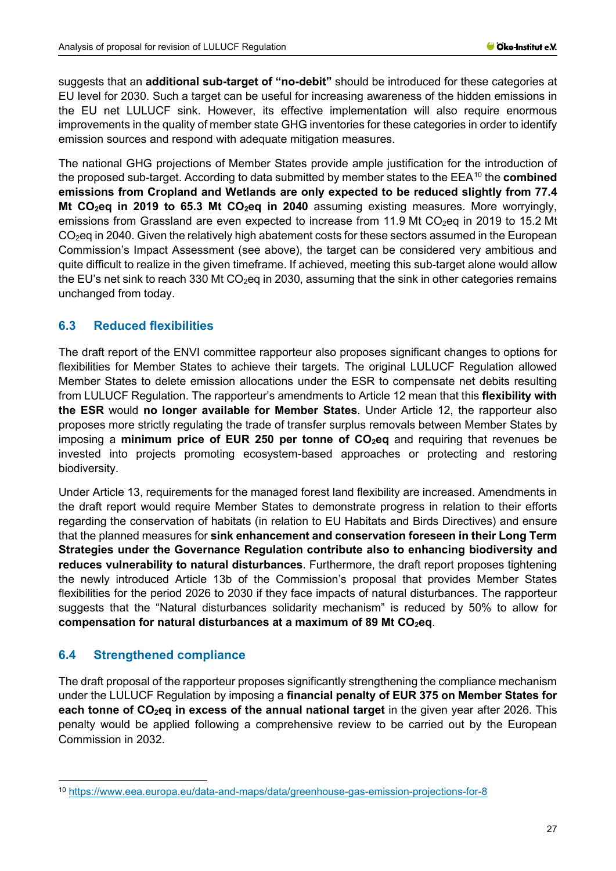suggests that an **additional sub-target of "no-debit"** should be introduced for these categories at EU level for 2030. Such a target can be useful for increasing awareness of the hidden emissions in the EU net LULUCF sink. However, its effective implementation will also require enormous improvements in the quality of member state GHG inventories for these categories in order to identify emission sources and respond with adequate mitigation measures.

The national GHG projections of Member States provide ample justification for the introduction of the proposed sub-target. According to data submitted by member states to the EEA[10](#page-26-2) the **combined emissions from Cropland and Wetlands are only expected to be reduced slightly from 77.4 Mt CO<sub>2</sub>eq in 2019 to 65.3 Mt CO<sub>2</sub>eq in 2040** assuming existing measures. More worryingly, emissions from Grassland are even expected to increase from 11.9 Mt CO<sub>2</sub>eq in 2019 to 15.2 Mt CO2eq in 2040. Given the relatively high abatement costs for these sectors assumed in the European Commission's Impact Assessment (see above), the target can be considered very ambitious and quite difficult to realize in the given timeframe. If achieved, meeting this sub-target alone would allow the EU's net sink to reach 330 Mt  $CO<sub>2</sub>$ eg in 2030, assuming that the sink in other categories remains unchanged from today.

## <span id="page-26-0"></span>**6.3 Reduced flexibilities**

The draft report of the ENVI committee rapporteur also proposes significant changes to options for flexibilities for Member States to achieve their targets. The original LULUCF Regulation allowed Member States to delete emission allocations under the ESR to compensate net debits resulting from LULUCF Regulation. The rapporteur's amendments to Article 12 mean that this **flexibility with the ESR** would **no longer available for Member States**. Under Article 12, the rapporteur also proposes more strictly regulating the trade of transfer surplus removals between Member States by imposing a **minimum price of EUR 250 per tonne of CO<sub>2</sub>eq** and requiring that revenues be invested into projects promoting ecosystem-based approaches or protecting and restoring biodiversity.

Under Article 13, requirements for the managed forest land flexibility are increased. Amendments in the draft report would require Member States to demonstrate progress in relation to their efforts regarding the conservation of habitats (in relation to EU Habitats and Birds Directives) and ensure that the planned measures for **sink enhancement and conservation foreseen in their Long Term Strategies under the Governance Regulation contribute also to enhancing biodiversity and reduces vulnerability to natural disturbances**. Furthermore, the draft report proposes tightening the newly introduced Article 13b of the Commission's proposal that provides Member States flexibilities for the period 2026 to 2030 if they face impacts of natural disturbances. The rapporteur suggests that the "Natural disturbances solidarity mechanism" is reduced by 50% to allow for compensation for natural disturbances at a maximum of 89 Mt CO<sub>2</sub>eq.

## <span id="page-26-1"></span>**6.4 Strengthened compliance**

The draft proposal of the rapporteur proposes significantly strengthening the compliance mechanism under the LULUCF Regulation by imposing a **financial penalty of EUR 375 on Member States for each tonne of CO<sub>2</sub>eq in excess of the annual national target** in the given year after 2026. This penalty would be applied following a comprehensive review to be carried out by the European Commission in 2032.

<span id="page-26-2"></span><sup>10</sup> <https://www.eea.europa.eu/data-and-maps/data/greenhouse-gas-emission-projections-for-8>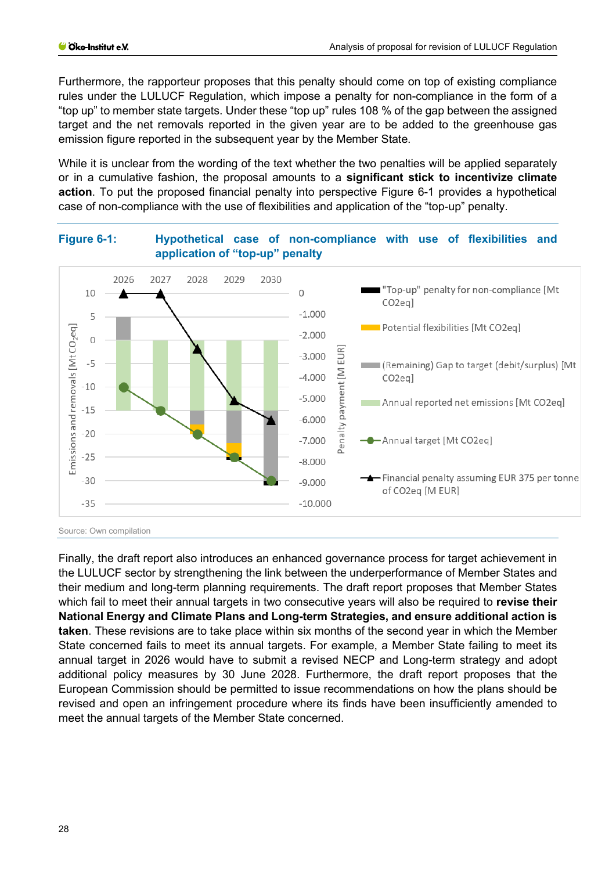Furthermore, the rapporteur proposes that this penalty should come on top of existing compliance rules under the LULUCF Regulation, which impose a penalty for non-compliance in the form of a "top up" to member state targets. Under these "top up" rules 108 % of the gap between the assigned target and the net removals reported in the given year are to be added to the greenhouse gas emission figure reported in the subsequent year by the Member State.

While it is unclear from the wording of the text whether the two penalties will be applied separately or in a cumulative fashion, the proposal amounts to a **significant stick to incentivize climate action**. To put the proposed financial penalty into perspective [Figure 6-1](#page-27-0) provides a hypothetical case of non-compliance with the use of flexibilities and application of the "top-up" penalty.



<span id="page-27-0"></span>**Figure 6-1: Hypothetical case of non-compliance with use of flexibilities and** 

Source: Own compilation

Finally, the draft report also introduces an enhanced governance process for target achievement in the LULUCF sector by strengthening the link between the underperformance of Member States and their medium and long-term planning requirements. The draft report proposes that Member States which fail to meet their annual targets in two consecutive years will also be required to **revise their National Energy and Climate Plans and Long-term Strategies, and ensure additional action is taken**. These revisions are to take place within six months of the second year in which the Member State concerned fails to meet its annual targets. For example, a Member State failing to meet its annual target in 2026 would have to submit a revised NECP and Long-term strategy and adopt additional policy measures by 30 June 2028. Furthermore, the draft report proposes that the European Commission should be permitted to issue recommendations on how the plans should be revised and open an infringement procedure where its finds have been insufficiently amended to meet the annual targets of the Member State concerned.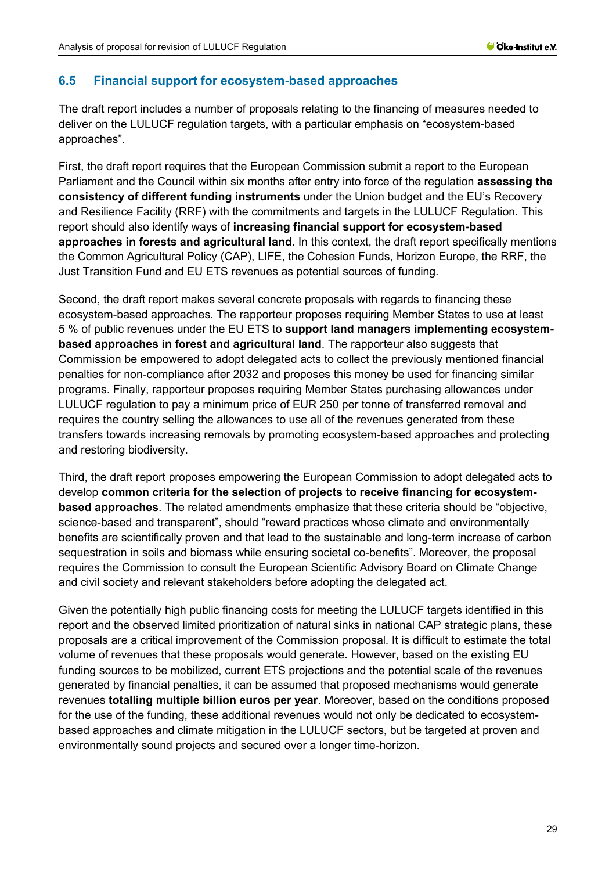#### <span id="page-28-0"></span>**6.5 Financial support for ecosystem-based approaches**

The draft report includes a number of proposals relating to the financing of measures needed to deliver on the LULUCF regulation targets, with a particular emphasis on "ecosystem-based approaches".

First, the draft report requires that the European Commission submit a report to the European Parliament and the Council within six months after entry into force of the regulation **assessing the consistency of different funding instruments** under the Union budget and the EU's Recovery and Resilience Facility (RRF) with the commitments and targets in the LULUCF Regulation. This report should also identify ways of **increasing financial support for ecosystem-based approaches in forests and agricultural land**. In this context, the draft report specifically mentions the Common Agricultural Policy (CAP), LIFE, the Cohesion Funds, Horizon Europe, the RRF, the Just Transition Fund and EU ETS revenues as potential sources of funding.

Second, the draft report makes several concrete proposals with regards to financing these ecosystem-based approaches. The rapporteur proposes requiring Member States to use at least 5 % of public revenues under the EU ETS to **support land managers implementing ecosystembased approaches in forest and agricultural land**. The rapporteur also suggests that Commission be empowered to adopt delegated acts to collect the previously mentioned financial penalties for non-compliance after 2032 and proposes this money be used for financing similar programs. Finally, rapporteur proposes requiring Member States purchasing allowances under LULUCF regulation to pay a minimum price of EUR 250 per tonne of transferred removal and requires the country selling the allowances to use all of the revenues generated from these transfers towards increasing removals by promoting ecosystem-based approaches and protecting and restoring biodiversity.

Third, the draft report proposes empowering the European Commission to adopt delegated acts to develop **common criteria for the selection of projects to receive financing for ecosystembased approaches**. The related amendments emphasize that these criteria should be "objective, science-based and transparent", should "reward practices whose climate and environmentally benefits are scientifically proven and that lead to the sustainable and long-term increase of carbon sequestration in soils and biomass while ensuring societal co-benefits". Moreover, the proposal requires the Commission to consult the European Scientific Advisory Board on Climate Change and civil society and relevant stakeholders before adopting the delegated act.

Given the potentially high public financing costs for meeting the LULUCF targets identified in this report and the observed limited prioritization of natural sinks in national CAP strategic plans, these proposals are a critical improvement of the Commission proposal. It is difficult to estimate the total volume of revenues that these proposals would generate. However, based on the existing EU funding sources to be mobilized, current ETS projections and the potential scale of the revenues generated by financial penalties, it can be assumed that proposed mechanisms would generate revenues **totalling multiple billion euros per year**. Moreover, based on the conditions proposed for the use of the funding, these additional revenues would not only be dedicated to ecosystembased approaches and climate mitigation in the LULUCF sectors, but be targeted at proven and environmentally sound projects and secured over a longer time-horizon.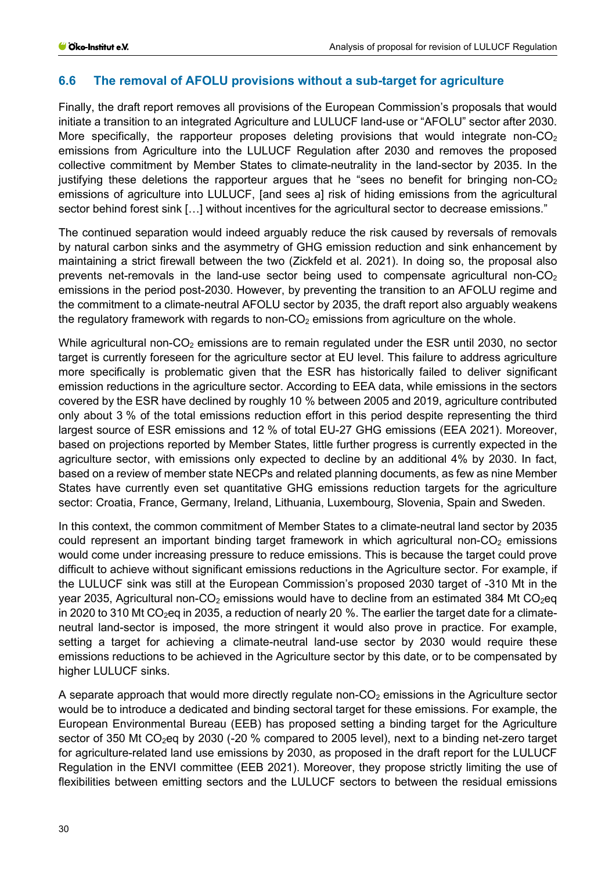## <span id="page-29-0"></span>**6.6 The removal of AFOLU provisions without a sub-target for agriculture**

Finally, the draft report removes all provisions of the European Commission's proposals that would initiate a transition to an integrated Agriculture and LULUCF land-use or "AFOLU" sector after 2030. More specifically, the rapporteur proposes deleting provisions that would integrate non- $CO<sub>2</sub>$ emissions from Agriculture into the LULUCF Regulation after 2030 and removes the proposed collective commitment by Member States to climate-neutrality in the land-sector by 2035. In the justifying these deletions the rapporteur argues that he "sees no benefit for bringing non- $CO<sub>2</sub>$ emissions of agriculture into LULUCF, [and sees a] risk of hiding emissions from the agricultural sector behind forest sink [...] without incentives for the agricultural sector to decrease emissions."

The continued separation would indeed arguably reduce the risk caused by reversals of removals by natural carbon sinks and the asymmetry of GHG emission reduction and sink enhancement by maintaining a strict firewall between the two (Zickfeld et al. 2021). In doing so, the proposal also prevents net-removals in the land-use sector being used to compensate agricultural non- $CO<sub>2</sub>$ emissions in the period post-2030. However, by preventing the transition to an AFOLU regime and the commitment to a climate-neutral AFOLU sector by 2035, the draft report also arguably weakens the regulatory framework with regards to non- $CO<sub>2</sub>$  emissions from agriculture on the whole.

While agricultural non- $CO<sub>2</sub>$  emissions are to remain regulated under the ESR until 2030, no sector target is currently foreseen for the agriculture sector at EU level. This failure to address agriculture more specifically is problematic given that the ESR has historically failed to deliver significant emission reductions in the agriculture sector. According to EEA data, while emissions in the sectors covered by the ESR have declined by roughly 10 % between 2005 and 2019, agriculture contributed only about 3 % of the total emissions reduction effort in this period despite representing the third largest source of ESR emissions and 12 % of total EU-27 GHG emissions (EEA 2021). Moreover, based on projections reported by Member States, little further progress is currently expected in the agriculture sector, with emissions only expected to decline by an additional 4% by 2030. In fact, based on a review of member state NECPs and related planning documents, as few as nine Member States have currently even set quantitative GHG emissions reduction targets for the agriculture sector: Croatia, France, Germany, Ireland, Lithuania, Luxembourg, Slovenia, Spain and Sweden.

In this context, the common commitment of Member States to a climate-neutral land sector by 2035 could represent an important binding target framework in which agricultural non- $CO<sub>2</sub>$  emissions would come under increasing pressure to reduce emissions. This is because the target could prove difficult to achieve without significant emissions reductions in the Agriculture sector. For example, if the LULUCF sink was still at the European Commission's proposed 2030 target of -310 Mt in the year 2035, Agricultural non- $CO<sub>2</sub>$  emissions would have to decline from an estimated 384 Mt  $CO<sub>2</sub>$ eq in 2020 to 310 Mt CO<sub>2</sub>eq in 2035, a reduction of nearly 20 %. The earlier the target date for a climateneutral land-sector is imposed, the more stringent it would also prove in practice. For example, setting a target for achieving a climate-neutral land-use sector by 2030 would require these emissions reductions to be achieved in the Agriculture sector by this date, or to be compensated by higher LULUCF sinks.

A separate approach that would more directly regulate non- $CO<sub>2</sub>$  emissions in the Agriculture sector would be to introduce a dedicated and binding sectoral target for these emissions. For example, the European Environmental Bureau (EEB) has proposed setting a binding target for the Agriculture sector of 350 Mt CO<sub>2</sub>eq by 2030 (-20 % compared to 2005 level), next to a binding net-zero target for agriculture-related land use emissions by 2030, as proposed in the draft report for the LULUCF Regulation in the ENVI committee (EEB 2021). Moreover, they propose strictly limiting the use of flexibilities between emitting sectors and the LULUCF sectors to between the residual emissions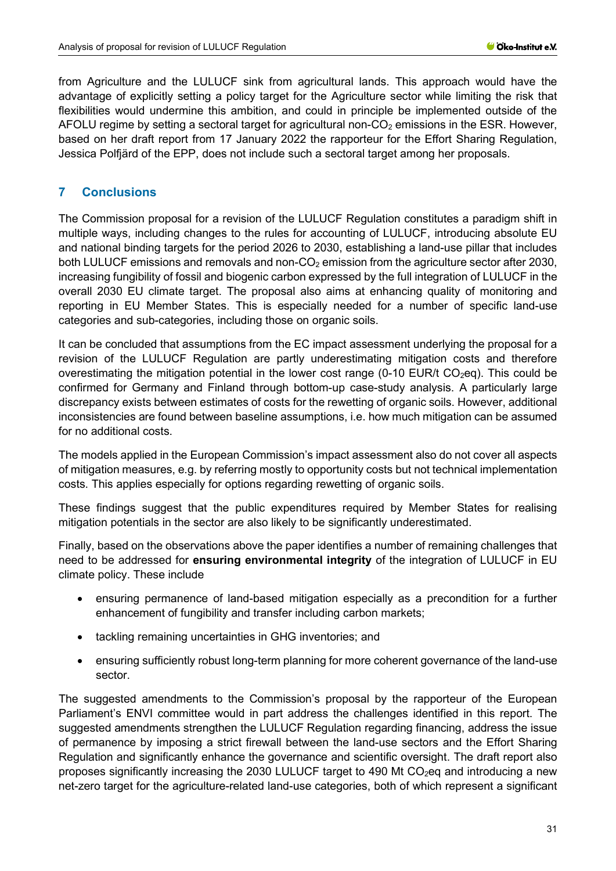from Agriculture and the LULUCF sink from agricultural lands. This approach would have the advantage of explicitly setting a policy target for the Agriculture sector while limiting the risk that flexibilities would undermine this ambition, and could in principle be implemented outside of the AFOLU regime by setting a sectoral target for agricultural non- $CO<sub>2</sub>$  emissions in the ESR. However, based on her draft report from 17 January 2022 the rapporteur for the Effort Sharing Regulation, Jessica Polfjärd of the EPP, does not include such a sectoral target among her proposals.

## <span id="page-30-0"></span>**7 Conclusions**

The Commission proposal for a revision of the LULUCF Regulation constitutes a paradigm shift in multiple ways, including changes to the rules for accounting of LULUCF, introducing absolute EU and national binding targets for the period 2026 to 2030, establishing a land-use pillar that includes both LULUCF emissions and removals and non- $CO<sub>2</sub>$  emission from the agriculture sector after 2030, increasing fungibility of fossil and biogenic carbon expressed by the full integration of LULUCF in the overall 2030 EU climate target. The proposal also aims at enhancing quality of monitoring and reporting in EU Member States. This is especially needed for a number of specific land-use categories and sub-categories, including those on organic soils.

It can be concluded that assumptions from the EC impact assessment underlying the proposal for a revision of the LULUCF Regulation are partly underestimating mitigation costs and therefore overestimating the mitigation potential in the lower cost range (0-10 EUR/t  $CO<sub>2</sub>eq$ ). This could be confirmed for Germany and Finland through bottom-up case-study analysis. A particularly large discrepancy exists between estimates of costs for the rewetting of organic soils. However, additional inconsistencies are found between baseline assumptions, i.e. how much mitigation can be assumed for no additional costs.

The models applied in the European Commission's impact assessment also do not cover all aspects of mitigation measures, e.g. by referring mostly to opportunity costs but not technical implementation costs. This applies especially for options regarding rewetting of organic soils.

These findings suggest that the public expenditures required by Member States for realising mitigation potentials in the sector are also likely to be significantly underestimated.

Finally, based on the observations above the paper identifies a number of remaining challenges that need to be addressed for **ensuring environmental integrity** of the integration of LULUCF in EU climate policy. These include

- ensuring permanence of land-based mitigation especially as a precondition for a further enhancement of fungibility and transfer including carbon markets;
- tackling remaining uncertainties in GHG inventories; and
- ensuring sufficiently robust long-term planning for more coherent governance of the land-use sector.

The suggested amendments to the Commission's proposal by the rapporteur of the European Parliament's ENVI committee would in part address the challenges identified in this report. The suggested amendments strengthen the LULUCF Regulation regarding financing, address the issue of permanence by imposing a strict firewall between the land-use sectors and the Effort Sharing Regulation and significantly enhance the governance and scientific oversight. The draft report also proposes significantly increasing the 2030 LULUCF target to 490 Mt  $CO<sub>2</sub>$ eg and introducing a new net-zero target for the agriculture-related land-use categories, both of which represent a significant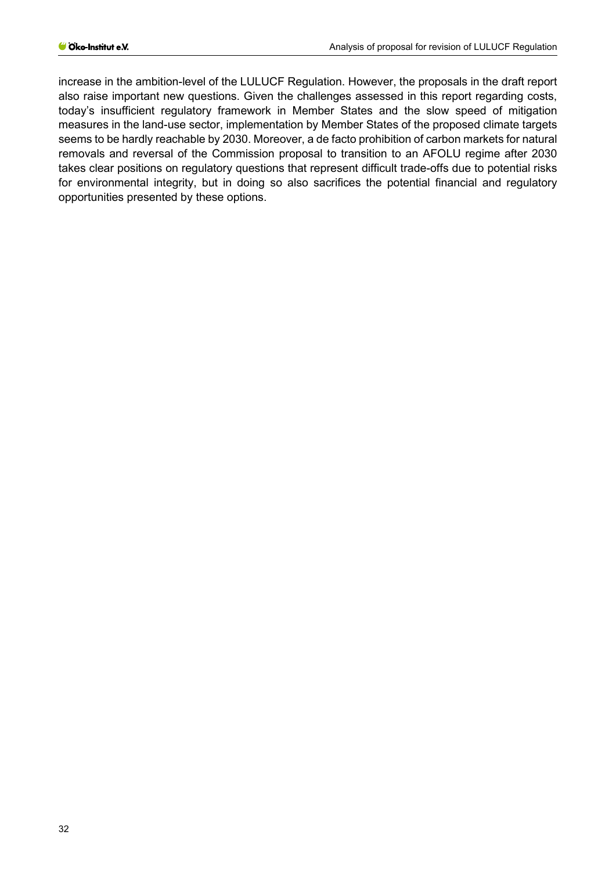increase in the ambition-level of the LULUCF Regulation. However, the proposals in the draft report also raise important new questions. Given the challenges assessed in this report regarding costs, today's insufficient regulatory framework in Member States and the slow speed of mitigation measures in the land-use sector, implementation by Member States of the proposed climate targets seems to be hardly reachable by 2030. Moreover, a de facto prohibition of carbon markets for natural removals and reversal of the Commission proposal to transition to an AFOLU regime after 2030 takes clear positions on regulatory questions that represent difficult trade-offs due to potential risks for environmental integrity, but in doing so also sacrifices the potential financial and regulatory opportunities presented by these options.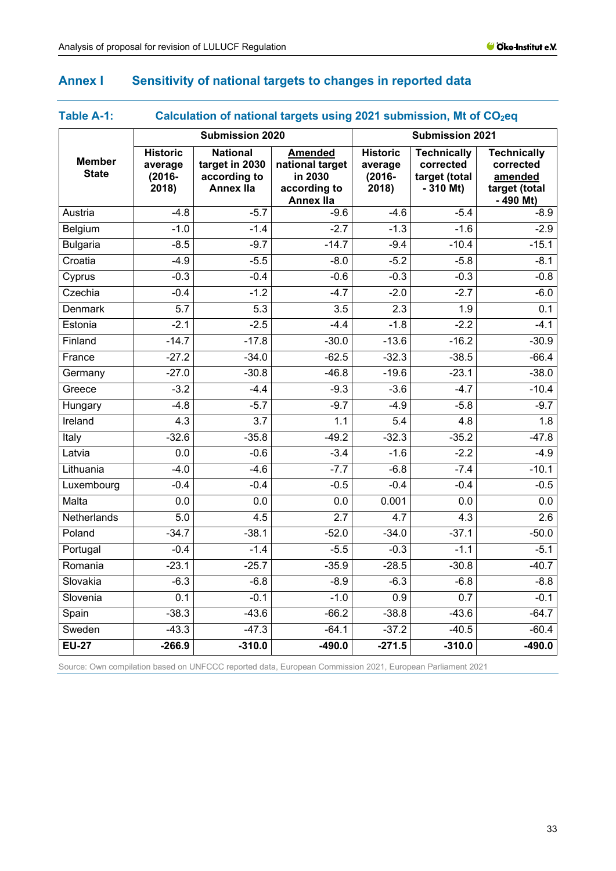## <span id="page-32-0"></span>**Annex I Sensitivity of national targets to changes in reported data**

## <span id="page-32-1"></span>Table A-1: **Calculation of national targets using 2021 submission, Mt of CO<sub>2</sub>eq**

|                               |                                                  | <b>Submission 2020</b>                                                |                                                                                  | <b>Submission 2021</b>                           |                                                                |                                                                           |
|-------------------------------|--------------------------------------------------|-----------------------------------------------------------------------|----------------------------------------------------------------------------------|--------------------------------------------------|----------------------------------------------------------------|---------------------------------------------------------------------------|
| <b>Member</b><br><b>State</b> | <b>Historic</b><br>average<br>$(2016 -$<br>2018) | <b>National</b><br>target in 2030<br>according to<br><b>Annex IIa</b> | <b>Amended</b><br>national target<br>in 2030<br>according to<br><b>Annex IIa</b> | <b>Historic</b><br>average<br>$(2016 -$<br>2018) | <b>Technically</b><br>corrected<br>target (total<br>$-310$ Mt) | <b>Technically</b><br>corrected<br>amended<br>target (total<br>$-490$ Mt) |
| Austria                       | $-4.8$                                           | $-5.7$                                                                | $-9.6$                                                                           | $-4.6$                                           | $-5.4$                                                         | $-8.9$                                                                    |
| Belgium                       | $-1.0$                                           | $-1.4$                                                                | $-2.7$                                                                           | $-1.3$                                           | $-1.6$                                                         | $-2.9$                                                                    |
| <b>Bulgaria</b>               | $-8.5$                                           | $-9.7$                                                                | $-14.7$                                                                          | $-9.4$                                           | $-10.4$                                                        | $-15.1$                                                                   |
| Croatia                       | $-4.9$                                           | $-5.5$                                                                | $-8.0$                                                                           | $-5.2$                                           | $-5.8$                                                         | $-8.1$                                                                    |
| Cyprus                        | $-0.3$                                           | $-0.4$                                                                | $-0.6$                                                                           | $-0.3$                                           | $-0.3$                                                         | $-0.8$                                                                    |
| Czechia                       | $-0.4$                                           | $-1.2$                                                                | $-4.7$                                                                           | $-2.0$                                           | $-2.7$                                                         | $-6.0$                                                                    |
| <b>Denmark</b>                | 5.7                                              | 5.3                                                                   | 3.5                                                                              | 2.3                                              | 1.9                                                            | 0.1                                                                       |
| Estonia                       | $-2.1$                                           | $-2.5$                                                                | $-4.4$                                                                           | $-1.8$                                           | $-2.2$                                                         | $-4.1$                                                                    |
| Finland                       | $-14.7$                                          | $-17.8$                                                               | $-30.0$                                                                          | $-13.6$                                          | $-16.2$                                                        | $-30.9$                                                                   |
| France                        | $-27.2$                                          | $-34.0$                                                               | $-62.5$                                                                          | $-32.3$                                          | $-38.5$                                                        | $-66.4$                                                                   |
| Germany                       | $-27.0$                                          | $-30.8$                                                               | $-46.8$                                                                          | $-19.6$                                          | $-23.1$                                                        | $-38.0$                                                                   |
| Greece                        | $-3.2$                                           | $-4.4$                                                                | $-9.3$                                                                           | $-3.6$                                           | $-4.7$                                                         | $-10.4$                                                                   |
| Hungary                       | $-4.8$                                           | $-5.7$                                                                | $-9.7$                                                                           | $-4.9$                                           | $-5.8$                                                         | $-9.7$                                                                    |
| Ireland                       | 4.3                                              | $\overline{3.7}$                                                      | 1.1                                                                              | 5.4                                              | 4.8                                                            | 1.8                                                                       |
| Italy                         | $-32.6$                                          | $-35.8$                                                               | $-49.2$                                                                          | $-32.3$                                          | $-35.2$                                                        | $-47.8$                                                                   |
| Latvia                        | 0.0                                              | $-0.6$                                                                | $-3.4$                                                                           | $-1.6$                                           | $-2.2$                                                         | $-4.9$                                                                    |
| Lithuania                     | $-4.0$                                           | $-4.6$                                                                | $-7.7$                                                                           | $-6.8$                                           | $-7.4$                                                         | $-10.1$                                                                   |
| Luxembourg                    | $-0.4$                                           | $-0.4$                                                                | $-0.5$                                                                           | $-0.4$                                           | $-0.4$                                                         | $-0.5$                                                                    |
| Malta                         | 0.0                                              | $\overline{0.0}$                                                      | $\overline{0.0}$                                                                 | 0.001                                            | 0.0                                                            | 0.0                                                                       |
| Netherlands                   | 5.0                                              | 4.5                                                                   | $\overline{2.7}$                                                                 | 4.7                                              | 4.3                                                            | 2.6                                                                       |
| Poland                        | $-34.7$                                          | $-38.1$                                                               | $-52.0$                                                                          | $-34.0$                                          | $-37.1$                                                        | $-50.0$                                                                   |
| Portugal                      | $-0.4$                                           | $-1.4$                                                                | $-5.5$                                                                           | $-0.3$                                           | $-1.1$                                                         | $-5.1$                                                                    |
| Romania                       | $-23.1$                                          | $-25.7$                                                               | $-35.9$                                                                          | $-28.5$                                          | $-30.8$                                                        | $-40.7$                                                                   |
| Slovakia                      | $-6.3$                                           | $-6.8$                                                                | $-8.9$                                                                           | $-6.3$                                           | $-6.8$                                                         | $-8.8$                                                                    |
| Slovenia                      | 0.1                                              | $-0.1$                                                                | $-1.0$                                                                           | 0.9                                              | 0.7                                                            | $-0.1$                                                                    |
| Spain                         | $-38.3$                                          | $-43.6$                                                               | $-66.2$                                                                          | $-38.8$                                          | $-43.6$                                                        | $-64.7$                                                                   |
| Sweden                        | $-43.3$                                          | $-47.3$                                                               | $-64.1$                                                                          | $-37.2$                                          | $-40.5$                                                        | $-60.4$                                                                   |
| $EU-27$                       | $-266.9$                                         | $-310.0$                                                              | $-490.0$                                                                         | $-271.5$                                         | $-310.0$                                                       | $-490.0$                                                                  |

Source: Own compilation based on UNFCCC reported data, European Commission 2021, European Parliament 2021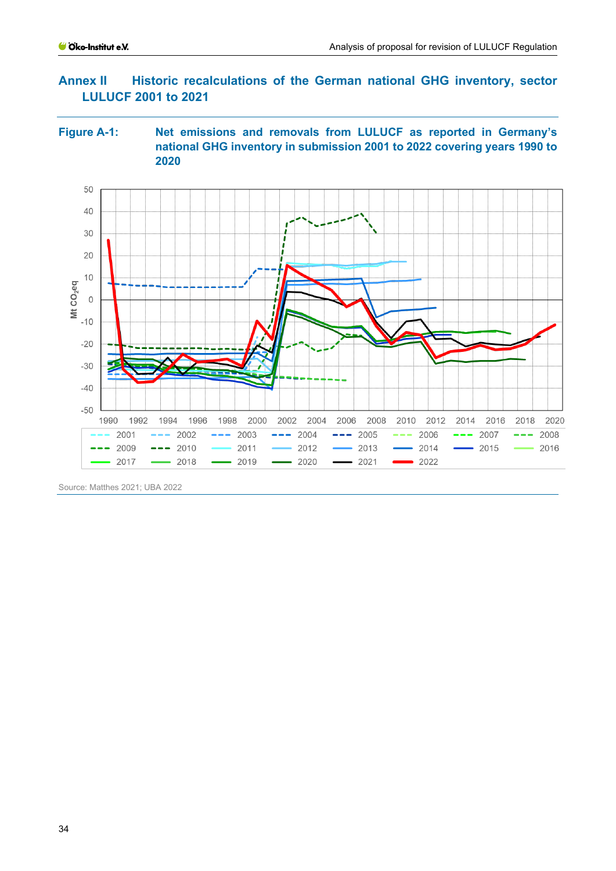## <span id="page-33-0"></span>**Annex II Historic recalculations of the German national GHG inventory, sector LULUCF 2001 to 2021**

#### **Figure A-1: Net emissions and removals from LULUCF as reported in Germany's national GHG inventory in submission 2001 to 2022 covering years 1990 to 2020**



Source: Matthes 2021; UBA 2022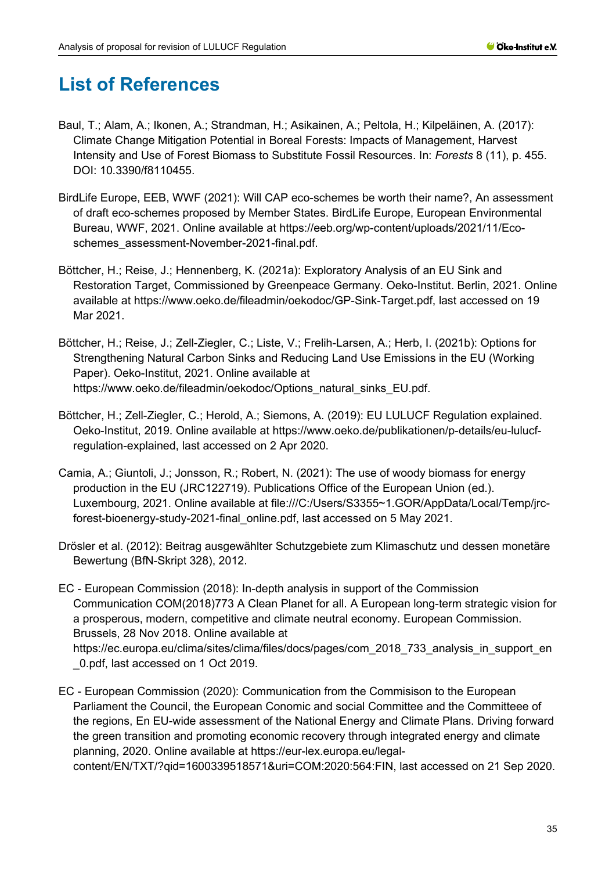# <span id="page-34-0"></span>**List of References**

- Baul, T.; Alam, A.; Ikonen, A.; Strandman, H.; Asikainen, A.; Peltola, H.; Kilpeläinen, A. (2017): Climate Change Mitigation Potential in Boreal Forests: Impacts of Management, Harvest Intensity and Use of Forest Biomass to Substitute Fossil Resources. In: *Forests* 8 (11), p. 455. DOI: 10.3390/f8110455.
- BirdLife Europe, EEB, WWF (2021): Will CAP eco-schemes be worth their name?, An assessment of draft eco-schemes proposed by Member States. BirdLife Europe, European Environmental Bureau, WWF, 2021. Online available at https://eeb.org/wp-content/uploads/2021/11/Ecoschemes\_assessment-November-2021-final.pdf.
- Böttcher, H.; Reise, J.; Hennenberg, K. (2021a): Exploratory Analysis of an EU Sink and Restoration Target, Commissioned by Greenpeace Germany. Oeko-Institut. Berlin, 2021. Online available at https://www.oeko.de/fileadmin/oekodoc/GP-Sink-Target.pdf, last accessed on 19 Mar 2021.
- Böttcher, H.; Reise, J.; Zell-Ziegler, C.; Liste, V.; Frelih-Larsen, A.; Herb, I. (2021b): Options for Strengthening Natural Carbon Sinks and Reducing Land Use Emissions in the EU (Working Paper). Oeko-Institut, 2021. Online available at https://www.oeko.de/fileadmin/oekodoc/Options\_natural\_sinks\_EU.pdf.
- Böttcher, H.; Zell-Ziegler, C.; Herold, A.; Siemons, A. (2019): EU LULUCF Regulation explained. Oeko-Institut, 2019. Online available at https://www.oeko.de/publikationen/p-details/eu-lulucfregulation-explained, last accessed on 2 Apr 2020.
- Camia, A.; Giuntoli, J.; Jonsson, R.; Robert, N. (2021): The use of woody biomass for energy production in the EU (JRC122719). Publications Office of the European Union (ed.). Luxembourg, 2021. Online available at file:///C:/Users/S3355~1.GOR/AppData/Local/Temp/jrcforest-bioenergy-study-2021-final\_online.pdf, last accessed on 5 May 2021.
- Drösler et al. (2012): Beitrag ausgewählter Schutzgebiete zum Klimaschutz und dessen monetäre Bewertung (BfN-Skript 328), 2012.
- EC European Commission (2018): In-depth analysis in support of the Commission Communication COM(2018)773 A Clean Planet for all. A European long-term strategic vision for a prosperous, modern, competitive and climate neutral economy. European Commission. Brussels, 28 Nov 2018. Online available at https://ec.europa.eu/clima/sites/clima/files/docs/pages/com\_2018\_733\_analysis\_in\_support\_en \_0.pdf, last accessed on 1 Oct 2019.
- EC European Commission (2020): Communication from the Commisison to the European Parliament the Council, the European Conomic and social Committee and the Committeee of the regions, En EU-wide assessment of the National Energy and Climate Plans. Driving forward the green transition and promoting economic recovery through integrated energy and climate planning, 2020. Online available at https://eur-lex.europa.eu/legalcontent/EN/TXT/?qid=1600339518571&uri=COM:2020:564:FIN, last accessed on 21 Sep 2020.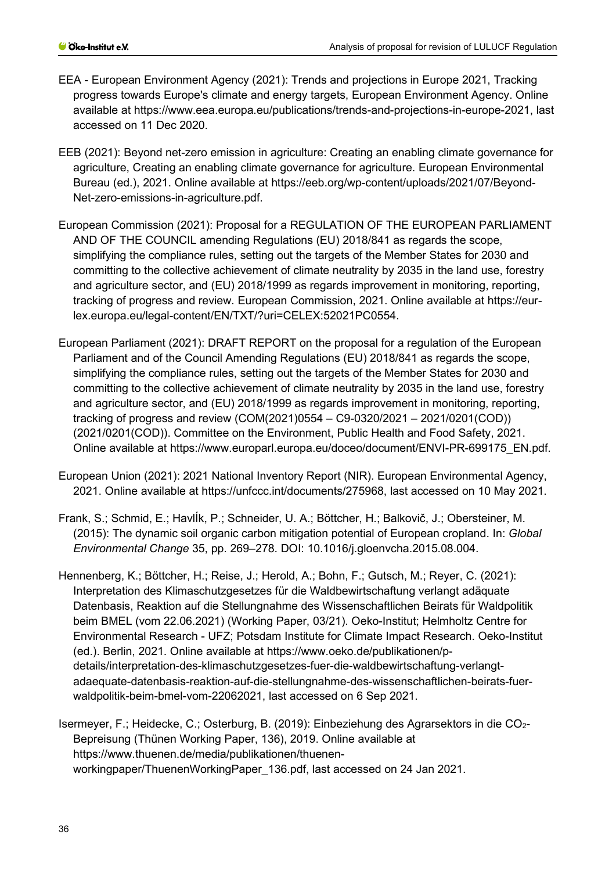- EEA European Environment Agency (2021): Trends and projections in Europe 2021, Tracking progress towards Europe's climate and energy targets, European Environment Agency. Online available at https://www.eea.europa.eu/publications/trends-and-projections-in-europe-2021, last accessed on 11 Dec 2020.
- EEB (2021): Beyond net-zero emission in agriculture: Creating an enabling climate governance for agriculture, Creating an enabling climate governance for agriculture. European Environmental Bureau (ed.), 2021. Online available at https://eeb.org/wp-content/uploads/2021/07/Beyond-Net-zero-emissions-in-agriculture.pdf.
- European Commission (2021): Proposal for a REGULATION OF THE EUROPEAN PARLIAMENT AND OF THE COUNCIL amending Regulations (EU) 2018/841 as regards the scope, simplifying the compliance rules, setting out the targets of the Member States for 2030 and committing to the collective achievement of climate neutrality by 2035 in the land use, forestry and agriculture sector, and (EU) 2018/1999 as regards improvement in monitoring, reporting, tracking of progress and review. European Commission, 2021. Online available at https://eurlex.europa.eu/legal-content/EN/TXT/?uri=CELEX:52021PC0554.
- European Parliament (2021): DRAFT REPORT on the proposal for a regulation of the European Parliament and of the Council Amending Regulations (EU) 2018/841 as regards the scope, simplifying the compliance rules, setting out the targets of the Member States for 2030 and committing to the collective achievement of climate neutrality by 2035 in the land use, forestry and agriculture sector, and (EU) 2018/1999 as regards improvement in monitoring, reporting, tracking of progress and review (COM(2021)0554 – C9-0320/2021 – 2021/0201(COD)) (2021/0201(COD)). Committee on the Environment, Public Health and Food Safety, 2021. Online available at https://www.europarl.europa.eu/doceo/document/ENVI-PR-699175\_EN.pdf.
- European Union (2021): 2021 National Inventory Report (NIR). European Environmental Agency, 2021. Online available at https://unfccc.int/documents/275968, last accessed on 10 May 2021.
- Frank, S.; Schmid, E.; HavlÍk, P.; Schneider, U. A.; Böttcher, H.; Balkovič, J.; Obersteiner, M. (2015): The dynamic soil organic carbon mitigation potential of European cropland. In: *Global Environmental Change* 35, pp. 269–278. DOI: 10.1016/j.gloenvcha.2015.08.004.
- Hennenberg, K.; Böttcher, H.; Reise, J.; Herold, A.; Bohn, F.; Gutsch, M.; Reyer, C. (2021): Interpretation des Klimaschutzgesetzes für die Waldbewirtschaftung verlangt adäquate Datenbasis, Reaktion auf die Stellungnahme des Wissenschaftlichen Beirats für Waldpolitik beim BMEL (vom 22.06.2021) (Working Paper, 03/21). Oeko-Institut; Helmholtz Centre for Environmental Research - UFZ; Potsdam Institute for Climate Impact Research. Oeko-Institut (ed.). Berlin, 2021. Online available at https://www.oeko.de/publikationen/pdetails/interpretation-des-klimaschutzgesetzes-fuer-die-waldbewirtschaftung-verlangtadaequate-datenbasis-reaktion-auf-die-stellungnahme-des-wissenschaftlichen-beirats-fuerwaldpolitik-beim-bmel-vom-22062021, last accessed on 6 Sep 2021.
- Isermeyer, F.; Heidecke, C.; Osterburg, B. (2019): Einbeziehung des Agrarsektors in die CO<sub>2</sub>-Bepreisung (Thünen Working Paper, 136), 2019. Online available at https://www.thuenen.de/media/publikationen/thuenenworkingpaper/ThuenenWorkingPaper\_136.pdf, last accessed on 24 Jan 2021.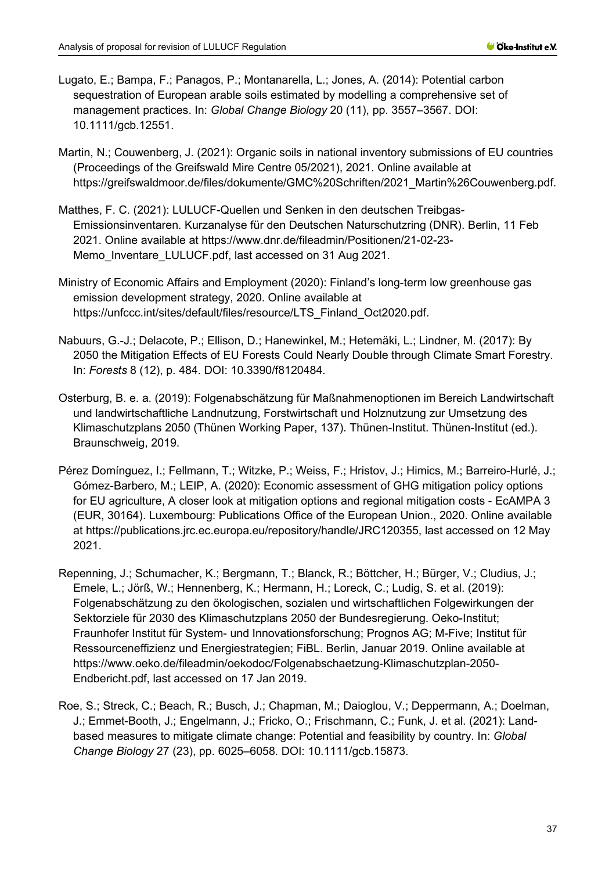- Lugato, E.; Bampa, F.; Panagos, P.; Montanarella, L.; Jones, A. (2014): Potential carbon sequestration of European arable soils estimated by modelling a comprehensive set of management practices. In: *Global Change Biology* 20 (11), pp. 3557–3567. DOI: 10.1111/gcb.12551.
- Martin, N.; Couwenberg, J. (2021): Organic soils in national inventory submissions of EU countries (Proceedings of the Greifswald Mire Centre 05/2021), 2021. Online available at https://greifswaldmoor.de/files/dokumente/GMC%20Schriften/2021\_Martin%26Couwenberg.pdf.
- Matthes, F. C. (2021): LULUCF-Quellen und Senken in den deutschen Treibgas-Emissionsinventaren. Kurzanalyse für den Deutschen Naturschutzring (DNR). Berlin, 11 Feb 2021. Online available at https://www.dnr.de/fileadmin/Positionen/21-02-23- Memo\_Inventare\_LULUCF.pdf, last accessed on 31 Aug 2021.
- Ministry of Economic Affairs and Employment (2020): Finland's long-term low greenhouse gas emission development strategy, 2020. Online available at https://unfccc.int/sites/default/files/resource/LTS\_Finland\_Oct2020.pdf.
- Nabuurs, G.-J.; Delacote, P.; Ellison, D.; Hanewinkel, M.; Hetemäki, L.; Lindner, M. (2017): By 2050 the Mitigation Effects of EU Forests Could Nearly Double through Climate Smart Forestry. In: *Forests* 8 (12), p. 484. DOI: 10.3390/f8120484.
- Osterburg, B. e. a. (2019): Folgenabschätzung für Maßnahmenoptionen im Bereich Landwirtschaft und landwirtschaftliche Landnutzung, Forstwirtschaft und Holznutzung zur Umsetzung des Klimaschutzplans 2050 (Thünen Working Paper, 137). Thünen-Institut. Thünen-Institut (ed.). Braunschweig, 2019.
- Pérez Domínguez, I.; Fellmann, T.; Witzke, P.; Weiss, F.; Hristov, J.; Himics, M.; Barreiro-Hurlé, J.; Gómez-Barbero, M.; LEIP, A. (2020): Economic assessment of GHG mitigation policy options for EU agriculture, A closer look at mitigation options and regional mitigation costs - EcAMPA 3 (EUR, 30164). Luxembourg: Publications Office of the European Union., 2020. Online available at https://publications.jrc.ec.europa.eu/repository/handle/JRC120355, last accessed on 12 May 2021.
- Repenning, J.; Schumacher, K.; Bergmann, T.; Blanck, R.; Böttcher, H.; Bürger, V.; Cludius, J.; Emele, L.; Jörß, W.; Hennenberg, K.; Hermann, H.; Loreck, C.; Ludig, S. et al. (2019): Folgenabschätzung zu den ökologischen, sozialen und wirtschaftlichen Folgewirkungen der Sektorziele für 2030 des Klimaschutzplans 2050 der Bundesregierung. Oeko-Institut; Fraunhofer Institut für System- und Innovationsforschung; Prognos AG; M-Five; Institut für Ressourceneffizienz und Energiestrategien; FiBL. Berlin, Januar 2019. Online available at https://www.oeko.de/fileadmin/oekodoc/Folgenabschaetzung-Klimaschutzplan-2050- Endbericht.pdf, last accessed on 17 Jan 2019.
- Roe, S.; Streck, C.; Beach, R.; Busch, J.; Chapman, M.; Daioglou, V.; Deppermann, A.; Doelman, J.; Emmet-Booth, J.; Engelmann, J.; Fricko, O.; Frischmann, C.; Funk, J. et al. (2021): Landbased measures to mitigate climate change: Potential and feasibility by country. In: *Global Change Biology* 27 (23), pp. 6025–6058. DOI: 10.1111/gcb.15873.